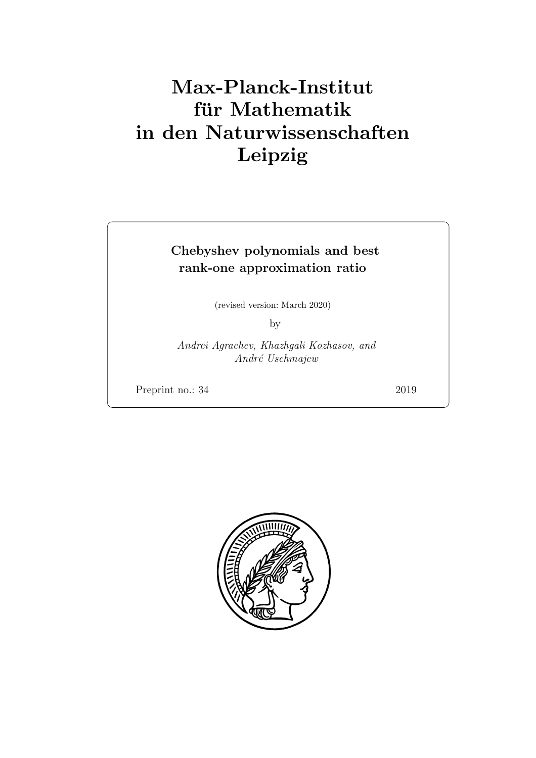# Max-Planck-Institut für Mathematik in den Naturwissenschaften Leipzig

# Chebyshev polynomials and best rank-one approximation ratio

(revised version: March 2020)

by

Andrei Agrachev, Khazhgali Kozhasov, and André Uschmajew

Preprint no.: 34 2019

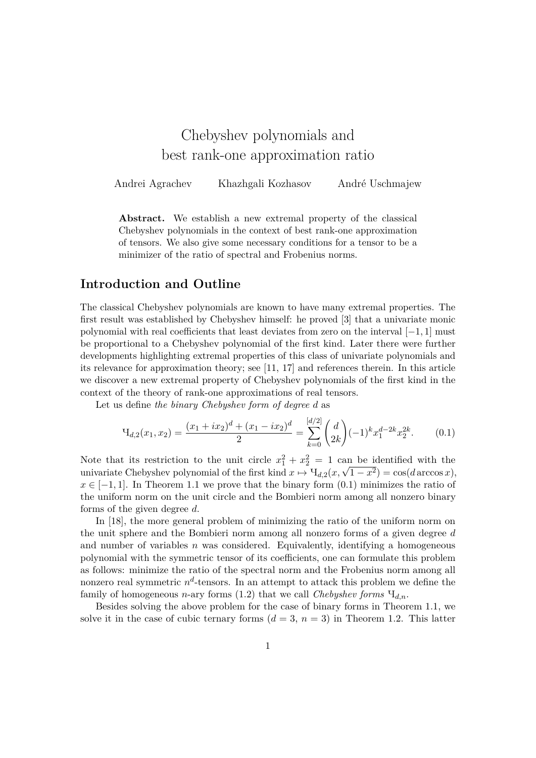# Chebyshev polynomials and best rank-one approximation ratio

Andrei Agrachev Khazhgali Kozhasov André Uschmajew

**Abstract.** We establish a new extremal property of the classical Chebyshev polynomials in the context of best rank-one approximation of tensors. We also give some necessary conditions for a tensor to be a minimizer of the ratio of spectral and Frobenius norms.

# **Introduction and Outline**

The classical Chebyshev polynomials are known to have many extremal properties. The first result was established by Chebyshev himself: he proved [3] that a univariate monic polynomial with real coefficients that least deviates from zero on the interval [−1*,* 1] must be proportional to a Chebyshev polynomial of the first kind. Later there were further developments highlighting extremal properties of this class of univariate polynomials and its relevance for approximation theory; see [11, 17] and references therein. In this article we discover a new extremal property of Chebyshev polynomials of the first kind in the context of the theory of rank-one approximations of real tensors.

Let us define *the binary Chebyshev form of degree d* as

$$
\mathcal{H}_{d,2}(x_1, x_2) = \frac{(x_1 + ix_2)^d + (x_1 - ix_2)^d}{2} = \sum_{k=0}^{\lfloor d/2 \rfloor} \binom{d}{2k} (-1)^k x_1^{d-2k} x_2^{2k}.
$$
 (0.1)

Note that its restriction to the unit circle  $x_1^2 + x_2^2 = 1$  can be identified with the Note that its restriction to the unit circle  $x_1^2 + x_2^2 = 1$  can be identified with the univariate Chebyshev polynomial of the first kind  $x \mapsto \mathrm{H}_{d,2}(x, \sqrt{1-x^2}) = \cos(d \arccos x)$ ,  $x \in [-1,1]$ . In Theorem 1.1 we prove that the binary form  $(0.1)$  minimizes the ratio of the uniform norm on the unit circle and the Bombieri norm among all nonzero binary forms of the given degree *d*.

In [18], the more general problem of minimizing the ratio of the uniform norm on the unit sphere and the Bombieri norm among all nonzero forms of a given degree *d* and number of variables *n* was considered. Equivalently, identifying a homogeneous polynomial with the symmetric tensor of its coefficients, one can formulate this problem as follows: minimize the ratio of the spectral norm and the Frobenius norm among all nonzero real symmetric  $n^d$ -tensors. In an attempt to attack this problem we define the family of homogeneous *n*-ary forms  $(1.2)$  that we call *Chebyshev forms*  $H_{d,n}$ .

Besides solving the above problem for the case of binary forms in Theorem 1.1, we solve it in the case of cubic ternary forms  $(d = 3, n = 3)$  in Theorem 1.2. This latter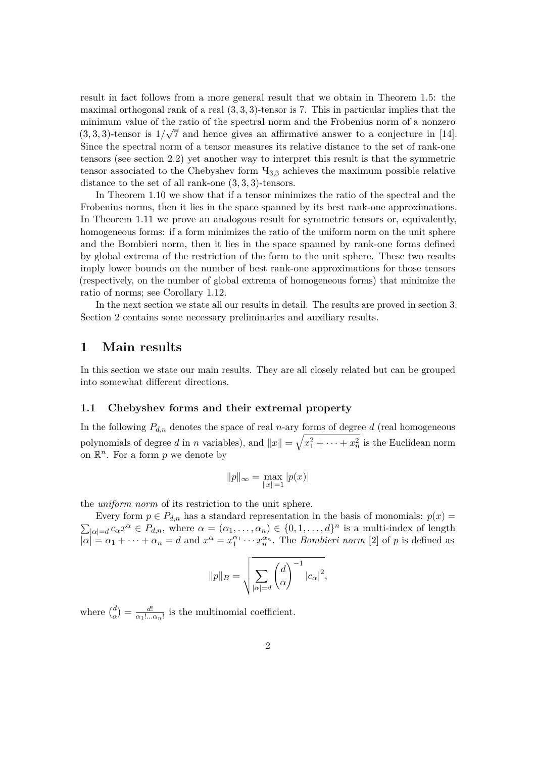result in fact follows from a more general result that we obtain in Theorem 1.5: the maximal orthogonal rank of a real (3*,* 3*,* 3)-tensor is 7. This in particular implies that the minimum value of the ratio of the spectral norm and the Frobenius norm of a nonzero  $(3,3,3)$ -tensor is  $1/\sqrt{7}$  and hence gives an affirmative answer to a conjecture in [14]. Since the spectral norm of a tensor measures its relative distance to the set of rank-one tensors (see section 2.2) yet another way to interpret this result is that the symmetric tensor associated to the Chebyshev form Ч3*,*<sup>3</sup> achieves the maximum possible relative distance to the set of all rank-one (3*,* 3*,* 3)-tensors.

In Theorem 1.10 we show that if a tensor minimizes the ratio of the spectral and the Frobenius norms, then it lies in the space spanned by its best rank-one approximations. In Theorem 1.11 we prove an analogous result for symmetric tensors or, equivalently, homogeneous forms: if a form minimizes the ratio of the uniform norm on the unit sphere and the Bombieri norm, then it lies in the space spanned by rank-one forms defined by global extrema of the restriction of the form to the unit sphere. These two results imply lower bounds on the number of best rank-one approximations for those tensors (respectively, on the number of global extrema of homogeneous forms) that minimize the ratio of norms; see Corollary 1.12.

In the next section we state all our results in detail. The results are proved in section 3. Section 2 contains some necessary preliminaries and auxiliary results.

## **1 Main results**

In this section we state our main results. They are all closely related but can be grouped into somewhat different directions.

#### **1.1 Chebyshev forms and their extremal property**

In the following  $P_{d,n}$  denotes the space of real *n*-ary forms of degree *d* (real homogeneous polynomials of degree *d* in *n* variables), and  $||x|| = \sqrt{x_1^2 + \cdots + x_n^2}$  is the Euclidean norm on  $\mathbb{R}^n$ . For a form p we denote by

$$
||p||_{\infty} = \max_{||x||=1} |p(x)|
$$

the *uniform norm* of its restriction to the unit sphere.

Every form  $p \in P_{d,n}$  has a standard representation in the basis of monomials:  $p(x) =$  $\sum_{|\alpha|=d} c_{\alpha} x^{\alpha} \in P_{d,n}$ , where  $\alpha = (\alpha_1, \ldots, \alpha_n) \in \{0, 1, \ldots, d\}^n$  is a multi-index of length  $|\alpha| = \alpha_1 + \cdots + \alpha_n = d$  and  $x^{\alpha} = x_1^{\alpha_1} \cdots x_n^{\alpha_n}$ . The *Bombieri norm* [2] of *p* is defined as

$$
||p||_B = \sqrt{\sum_{|\alpha|=d} \binom{d}{\alpha}^{-1} |c_{\alpha}|^2},
$$

where  $\binom{d}{\alpha}$  $\frac{d}{\alpha}$ ) =  $\frac{d!}{\alpha_1!...}$  $\frac{d!}{\alpha_1! \dots \alpha_n!}$  is the multinomial coefficient.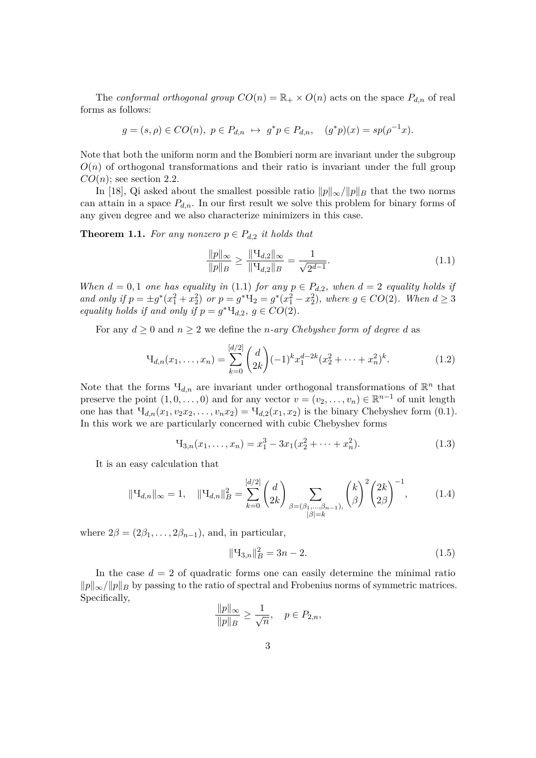The *conformal orthogonal group*  $CO(n) = \mathbb{R}_+ \times O(n)$  acts on the space  $P_{d,n}$  of real forms as follows:

$$
g = (s, \rho) \in CO(n), \ p \in P_{d,n} \ \mapsto \ g^* p \in P_{d,n}, \quad (g^* p)(x) = sp(\rho^{-1} x).
$$

Note that both the uniform norm and the Bombieri norm are invariant under the subgroup  $O(n)$  of orthogonal transformations and their ratio is invariant under the full group  $CO(n)$ ; see section 2.2.

In [18], Qi asked about the smallest possible ratio  $||p||_{\infty}/||p||_B$  that the two norms can attain in a space  $P_{d,n}$ . In our first result we solve this problem for binary forms of any given degree and we also characterize minimizers in this case.

**Theorem 1.1.** For any nonzero  $p \in P_{d,2}$  it holds that

$$
\frac{\|p\|_{\infty}}{\|p\|_{B}} \ge \frac{\|\mathcal{H}_{d,2}\|_{\infty}}{\|\mathcal{H}_{d,2}\|_{B}} = \frac{1}{\sqrt{2^{d-1}}}.
$$
\n(1.1)

*When*  $d = 0, 1$  *one has equality in* (1.1) *for any*  $p \in P_{d,2}$ *, when*  $d = 2$  *equality holds if and only if*  $p = \pm g^*(x_1^2 + x_2^2)$  *or*  $p = g^*\mathbf{H}_2 = g^*(x_1^2 - x_2^2)$ *, where*  $g \in CO(2)$ *. When*  $d \geq 3$ *equality holds if and only if*  $p = g^* \mathcal{H}_{d,2}$ ,  $g \in CO(2)$ *.* 

For any  $d \geq 0$  and  $n \geq 2$  we define the *n*-ary *Chebyshev form of degree d* as

$$
\mathcal{H}_{d,n}(x_1,\ldots,x_n) = \sum_{k=0}^{[d/2]} \binom{d}{2k} (-1)^k x_1^{d-2k} (x_2^2 + \cdots + x_n^2)^k.
$$
 (1.2)

Note that the forms  $\Pi_{d,n}$  are invariant under orthogonal transformations of  $\mathbb{R}^n$  that preserve the point  $(1, 0, \ldots, 0)$  and for any vector  $v = (v_2, \ldots, v_n) \in \mathbb{R}^{n-1}$  of unit length one has that  $\Pi_{d,n}(x_1, v_2x_2, \ldots, v_nx_2) = \Pi_{d,2}(x_1, x_2)$  is the binary Chebyshev form  $(0.1)$ . In this work we are particularly concerned with cubic Chebyshev forms

$$
H_{3,n}(x_1,\ldots,x_n) = x_1^3 - 3x_1(x_2^2 + \cdots + x_n^2). \tag{1.3}
$$

It is an easy calculation that

$$
\|\Psi_{d,n}\|_{\infty} = 1, \quad \|\Psi_{d,n}\|_{B}^{2} = \sum_{k=0}^{[d/2]} \binom{d}{2k} \sum_{\substack{\beta = (\beta_1, \dots, \beta_{n-1}), \\|\beta|=k}} \binom{k}{\beta}^{2} \binom{2k}{2\beta}^{-1}, \quad (1.4)
$$

where  $2\beta = (2\beta_1, \ldots, 2\beta_{n-1})$ , and, in particular,

$$
\|\mathbf{H}_{3,n}\|_{B}^{2} = 3n - 2. \tag{1.5}
$$

In the case  $d = 2$  of quadratic forms one can easily determine the minimal ratio *p*<sup>k</sup><sub>*p*</sub><sup>*k*</sup> $\mu$ <sup>*p*</sup><sub>*B*</sub> by passing to the ratio of spectral and Frobenius norms of symmetric matrices. Specifically,

$$
\frac{\|p\|_{\infty}}{\|p\|_{B}} \ge \frac{1}{\sqrt{n}}, \quad p \in P_{2,n},
$$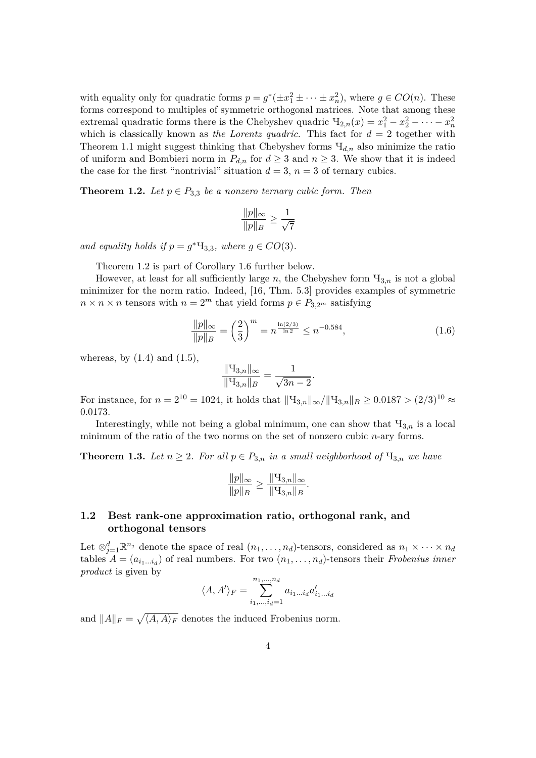with equality only for quadratic forms  $p = g^*(\pm x_1^2 \pm \cdots \pm x_n^2)$ , where  $g \in CO(n)$ . These forms correspond to multiples of symmetric orthogonal matrices. Note that among these extremal quadratic forms there is the Chebyshev quadric  $\Pi_{2,n}(x) = x_1^2 - x_2^2 - \cdots - x_n^2$ which is classically known as *the Lorentz quadric*. This fact for  $d = 2$  together with Theorem 1.1 might suggest thinking that Chebyshev forms  $H_{d,n}$  also minimize the ratio of uniform and Bombieri norm in  $P_{d,n}$  for  $d \geq 3$  and  $n \geq 3$ . We show that it is indeed the case for the first "nontrivial" situation  $d = 3$ ,  $n = 3$  of ternary cubics.

**Theorem 1.2.** *Let*  $p \in P_{3,3}$  *be a nonzero ternary cubic form. Then* 

$$
\frac{\|p\|_{\infty}}{\|p\|_{B}} \ge \frac{1}{\sqrt{7}}
$$

*and equality holds if*  $p = g^* \mathcal{H}_{3,3}$ *, where*  $g \in CO(3)$ *.* 

Theorem 1.2 is part of Corollary 1.6 further below.

However, at least for all sufficiently large *n*, the Chebyshev form  $\mathcal{H}_{3,n}$  is not a global minimizer for the norm ratio. Indeed, [16, Thm. 5.3] provides examples of symmetric  $n \times n \times n$  tensors with  $n = 2^m$  that yield forms  $p \in P_{3,2^m}$  satisfying

$$
\frac{\|p\|_{\infty}}{\|p\|_{B}} = \left(\frac{2}{3}\right)^{m} = n^{\frac{\ln(2/3)}{\ln 2}} \le n^{-0.584},\tag{1.6}
$$

whereas, by  $(1.4)$  and  $(1.5)$ ,

$$
\frac{\| \mathbf{H}_{3,n} \|_{\infty}}{\| \mathbf{H}_{3,n} \|_{B}} = \frac{1}{\sqrt{3n-2}}.
$$

For instance, for  $n = 2^{10} = 1024$ , it holds that  $\|\Psi_{3n}\|_{\infty}/\|\Psi_{3n}\|_{B} > 0.0187 > (2/3)^{10} \approx$ 0*.*0173.

Interestingly, while not being a global minimum, one can show that  $\Pi_{3,n}$  is a local minimum of the ratio of the two norms on the set of nonzero cubic *n*-ary forms.

**Theorem 1.3.** Let  $n \geq 2$ . For all  $p \in P_{3,n}$  in a small neighborhood of  $\mathcal{H}_{3,n}$  we have

$$
\frac{\|p\|_{\infty}}{\|p\|_{B}} \ge \frac{\|H_{3,n}\|_{\infty}}{\|H_{3,n}\|_{B}}.
$$

### **1.2 Best rank-one approximation ratio, orthogonal rank, and orthogonal tensors**

Let  $\otimes_{j=1}^d \mathbb{R}^{n_j}$  denote the space of real  $(n_1, \ldots, n_d)$ -tensors, considered as  $n_1 \times \cdots \times n_d$ tables  $A = (a_{i_1...i_d})$  of real numbers. For two  $(n_1,...,n_d)$ -tensors their *Frobenius inner product* is given by

$$
\langle A, A' \rangle_F = \sum_{i_1, \dots, i_d=1}^{n_1, \dots, n_d} a_{i_1 \dots i_d} a'_{i_1 \dots i_d}
$$

and  $||A||_F = \sqrt{\langle A, A \rangle_F}$  denotes the induced Frobenius norm.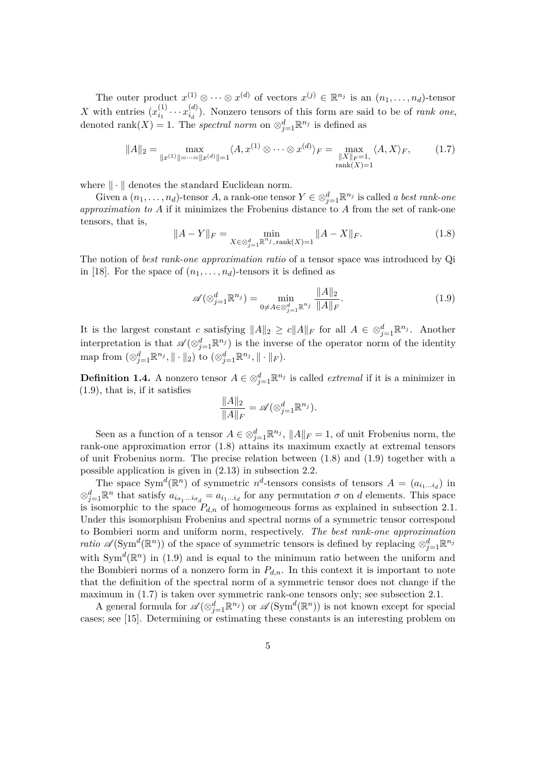The outer product  $x^{(1)} \otimes \cdots \otimes x^{(d)}$  of vectors  $x^{(j)} \in \mathbb{R}^{n_j}$  is an  $(n_1, \ldots, n_d)$ -tensor X with entries  $(x_i^{(1)}$  $x_{i_1}^{(1)} \cdots x_{i_d}^{(d)}$  $\binom{a}{i_d}$ . Nonzero tensors of this form are said to be of *rank one*, denoted rank $(X) = 1$ . The *spectral norm* on  $\otimes_{j=1}^d \mathbb{R}^{n_j}$  is defined as

$$
||A||_2 = \max_{||x^{(1)}|| = \dots = ||x^{(d)}|| = 1} \langle A, x^{(1)} \otimes \dots \otimes x^{(d)} \rangle_F = \max_{\substack{||X||_F = 1, \\ \text{rank}(X) = 1}} \langle A, X \rangle_F, \tag{1.7}
$$

where  $\|\cdot\|$  denotes the standard Euclidean norm.

Given a  $(n_1, \ldots, n_d)$ -tensor *A*, a rank-one tensor  $Y \in \otimes_{j=1}^d \mathbb{R}^{n_j}$  is called *a best rank-one approximation to A* if it minimizes the Frobenius distance to *A* from the set of rank-one tensors, that is,

$$
||A - Y||_F = \min_{X \in \otimes_{j=1}^d \mathbb{R}^{n_j}, \text{rank}(X) = 1} ||A - X||_F.
$$
 (1.8)

The notion of *best rank-one approximation ratio* of a tensor space was introduced by Qi in [18]. For the space of  $(n_1, \ldots, n_d)$ -tensors it is defined as

$$
\mathscr{A}(\otimes_{j=1}^{d} \mathbb{R}^{n_{j}}) = \min_{0 \neq A \in \otimes_{j=1}^{d} \mathbb{R}^{n_{j}}} \frac{\|A\|_{2}}{\|A\|_{F}}.
$$
\n(1.9)

It is the largest constant *c* satisfying  $||A||_2 \ge c||A||_F$  for all  $A \in \otimes_{j=1}^d \mathbb{R}^{n_j}$ . Another interpretation is that  $\mathscr{A}(\otimes_{j=1}^d \mathbb{R}^{n_j})$  is the inverse of the operator norm of the identity  $\text{map from } (\otimes_{j=1}^d \mathbb{R}^{n_j}, \|\cdot\|_2) \text{ to } (\otimes_{j=1}^d \mathbb{R}^{n_j}, \|\cdot\|_F).$ 

**Definition 1.4.** A nonzero tensor  $A \in \otimes_{j=1}^d \mathbb{R}^{n_j}$  is called *extremal* if it is a minimizer in (1.9), that is, if it satisfies

$$
\frac{\|A\|_2}{\|A\|_F} = \mathscr{A}(\otimes_{j=1}^d \mathbb{R}^{n_j}).
$$

Seen as a function of a tensor  $A \in \otimes_{j=1}^d \mathbb{R}^{n_j}$ ,  $||A||_F = 1$ , of unit Frobenius norm, the rank-one approximation error (1.8) attains its maximum exactly at extremal tensors of unit Frobenius norm. The precise relation between (1.8) and (1.9) together with a possible application is given in (2.13) in subsection 2.2.

The space Sym<sup> $d$ </sup>( $\mathbb{R}^n$ ) of symmetric  $n^d$ -tensors consists of tensors  $A = (a_{i_1...i_d})$  in  $\otimes_{j=1}^d \mathbb{R}^n$  that satisfy  $a_{i_{\sigma_1} \dots i_{\sigma_d}} = a_{i_1 \dots i_d}$  for any permutation  $\sigma$  on *d* elements. This space is isomorphic to the space  $P_{d,n}$  of homogeneous forms as explained in subsection 2.1. Under this isomorphism Frobenius and spectral norms of a symmetric tensor correspond to Bombieri norm and uniform norm, respectively. *The best rank-one approximation ratio*  $\mathscr{A}(\text{Sym}^d(\mathbb{R}^n))$  of the space of symmetric tensors is defined by replacing  $\otimes_{j=1}^d \mathbb{R}^{n_j}$ with  $Sym^d(\mathbb{R}^n)$  in (1.9) and is equal to the minimum ratio between the uniform and the Bombieri norms of a nonzero form in  $P_{d,n}$ . In this context it is important to note that the definition of the spectral norm of a symmetric tensor does not change if the maximum in (1.7) is taken over symmetric rank-one tensors only; see subsection 2.1.

A general formula for  $\mathscr{A}(\otimes_{j=1}^d \mathbb{R}^{n_j})$  or  $\mathscr{A}(\mathrm{Sym}^d(\mathbb{R}^n))$  is not known except for special cases; see [15]. Determining or estimating these constants is an interesting problem on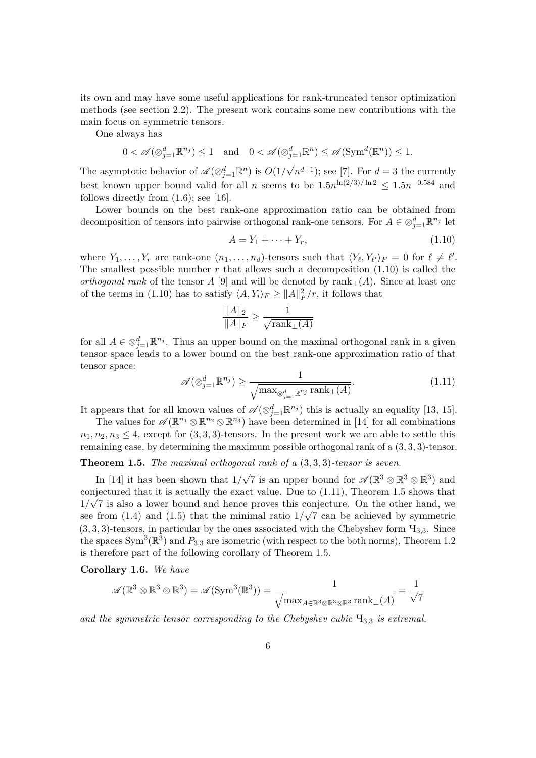its own and may have some useful applications for rank-truncated tensor optimization methods (see section 2.2). The present work contains some new contributions with the main focus on symmetric tensors.

One always has

$$
0 < \mathscr{A}(\otimes_{j=1}^d \mathbb{R}^{n_j}) \le 1 \quad \text{and} \quad 0 < \mathscr{A}(\otimes_{j=1}^d \mathbb{R}^n) \le \mathscr{A}(\text{Sym}^d(\mathbb{R}^n)) \le 1.
$$

The asymptotic behavior of  $\mathscr{A}(\otimes_{j=1}^d \mathbb{R}^n)$  is  $O(1)$  $(n^{d-1})$ ; see [7]. For  $d=3$  the currently best known upper bound valid for all *n* seems to be  $1.5n^{\ln(2/3)/\ln 2} \leq 1.5n^{-0.584}$  and follows directly from  $(1.6)$ ; see [16].

Lower bounds on the best rank-one approximation ratio can be obtained from decomposition of tensors into pairwise orthogonal rank-one tensors. For  $A \in \otimes_{j=1}^d \mathbb{R}^{n_j}$  let

$$
A = Y_1 + \dots + Y_r,\tag{1.10}
$$

where  $Y_1, \ldots, Y_r$  are rank-one  $(n_1, \ldots, n_d)$ -tensors such that  $\langle Y_\ell, Y_{\ell'} \rangle_F = 0$  for  $\ell \neq \ell'.$ The smallest possible number *r* that allows such a decomposition (1.10) is called the *orthogonal rank* of the tensor *A* [9] and will be denoted by rank<sub>⊥</sub>(*A*). Since at least one of the terms in (1.10) has to satisfy  $\langle A, Y_i \rangle_F \ge ||A||_F^2/r$ , it follows that

$$
\frac{\|A\|_2}{\|A\|_F} \ge \frac{1}{\sqrt{\text{rank}_{\perp}(A)}}
$$

for all  $A \in \otimes_{j=1}^d \mathbb{R}^{n_j}$ . Thus an upper bound on the maximal orthogonal rank in a given tensor space leads to a lower bound on the best rank-one approximation ratio of that tensor space:

$$
\mathscr{A}(\otimes_{j=1}^d \mathbb{R}^{n_j}) \ge \frac{1}{\sqrt{\max_{\otimes_{j=1}^d \mathbb{R}^{n_j}} \operatorname{rank}_{\perp}(A)}}.
$$
\n(1.11)

It appears that for all known values of  $\mathscr{A}(\otimes_{j=1}^d \mathbb{R}^{n_j})$  this is actually an equality [13, 15].

The values for  $\mathscr{A}(\mathbb{R}^{n_1} \otimes \mathbb{R}^{n_2} \otimes \mathbb{R}^{n_3})$  have been determined in [14] for all combinations  $n_1, n_2, n_3 \leq 4$ , except for  $(3, 3, 3)$ -tensors. In the present work we are able to settle this remaining case, by determining the maximum possible orthogonal rank of a (3*,* 3*,* 3)-tensor.

# **Theorem 1.5.** *The maximal orthogonal rank of a* (3*,* 3*,* 3)*-tensor is seven.*

In [14] it has been shown that 1*/*  $\sqrt{7}$  is an upper bound for  $\mathscr{A}(\mathbb{R}^3 \otimes \mathbb{R}^3 \otimes \mathbb{R}^3)$  and conjectured that it is actually the exact value. Due to  $(1.11)$ , Theorem 1.5 shows that  $1/\sqrt{7}$  is also a lower bound and hence proves this conjecture. On the other hand, we see from  $(1.4)$  and  $(1.5)$  that the minimal ratio  $1/\sqrt{7}$  can be achieved by symmetric  $(3,3,3)$ -tensors, in particular by the ones associated with the Chebyshev form  $\mathcal{H}_{3,3}$ . Since the spaces Sym<sup>3</sup>( $\mathbb{R}^3$ ) and  $P_{3,3}$  are isometric (with respect to the both norms), Theorem 1.2 is therefore part of the following corollary of Theorem 1.5.

**Corollary 1.6.** *We have*

$$
\mathscr{A}(\mathbb{R}^3\otimes\mathbb{R}^3\otimes\mathbb{R}^3)=\mathscr{A}(\mathrm{Sym}^3(\mathbb{R}^3))=\frac{1}{\sqrt{\max_{A\in\mathbb{R}^3\otimes\mathbb{R}^3\otimes\mathbb{R}^3}\mathrm{rank}_\perp(A)}}=\frac{1}{\sqrt{7}}
$$

*and the symmetric tensor corresponding to the Chebyshev cubic* Ч3*,*<sup>3</sup> *is extremal.*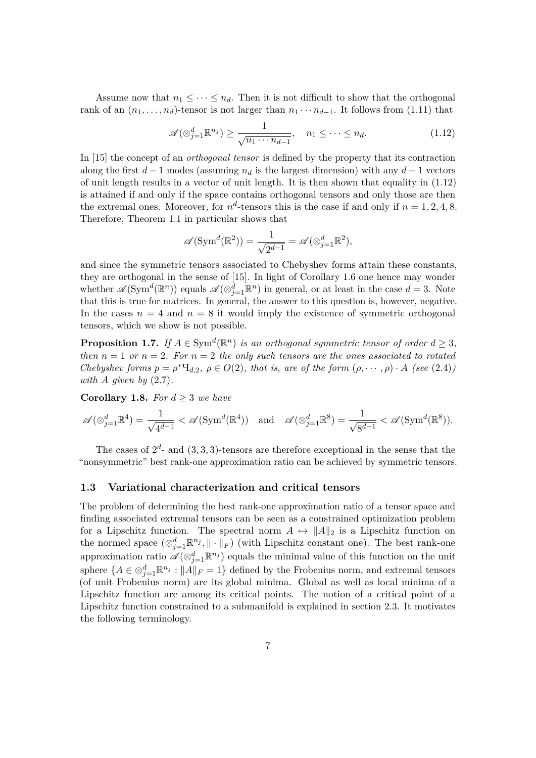Assume now that  $n_1 \leq \cdots \leq n_d$ . Then it is not difficult to show that the orthogonal rank of an  $(n_1, \ldots, n_d)$ -tensor is not larger than  $n_1 \cdots n_{d-1}$ . It follows from (1.11) that

$$
\mathscr{A}(\otimes_{j=1}^d \mathbb{R}^{n_j}) \ge \frac{1}{\sqrt{n_1 \cdots n_{d-1}}}, \quad n_1 \le \cdots \le n_d. \tag{1.12}
$$

In [15] the concept of an *orthogonal tensor* is defined by the property that its contraction along the first  $d-1$  modes (assuming  $n_d$  is the largest dimension) with any  $d-1$  vectors of unit length results in a vector of unit length. It is then shown that equality in (1.12) is attained if and only if the space contains orthogonal tensors and only those are then the extremal ones. Moreover, for  $n^d$ -tensors this is the case if and only if  $n = 1, 2, 4, 8$ . Therefore, Theorem 1.1 in particular shows that

$$
\mathscr{A}(\mathrm{Sym}^{d}(\mathbb{R}^{2})) = \frac{1}{\sqrt{2^{d-1}}} = \mathscr{A}(\otimes_{j=1}^{d} \mathbb{R}^{2}),
$$

and since the symmetric tensors associated to Chebyshev forms attain these constants, they are orthogonal in the sense of [15]. In light of Corollary 1.6 one hence may wonder whether  $\mathscr{A}(\mathrm{Sym}^d(\mathbb{R}^n))$  equals  $\mathscr{A}(\otimes_{j=1}^d \mathbb{R}^n)$  in general, or at least in the case  $d=3$ . Note that this is true for matrices. In general, the answer to this question is, however, negative. In the cases  $n = 4$  and  $n = 8$  it would imply the existence of symmetric orthogonal tensors, which we show is not possible.

**Proposition 1.7.** *If*  $A \in Sym^d(\mathbb{R}^n)$  *is an orthogonal symmetric tensor of order*  $d \geq 3$ *, then*  $n = 1$  *or*  $n = 2$ *. For*  $n = 2$  *the only such tensors are the ones associated to rotated Chebyshev forms*  $p = \rho^* \mathcal{H}_{d,2}, \ \rho \in O(2)$ *, that is, are of the form*  $(\rho, \dots, \rho) \cdot A$  *(see* (2.4)*) with A given by* (2.7)*.*

**Corollary 1.8.** *For*  $d \geq 3$  *we have* 

$$
\mathscr{A}(\otimes_{j=1}^d \mathbb{R}^4) = \frac{1}{\sqrt{4^{d-1}}} < \mathscr{A}(\operatorname{Sym}^d(\mathbb{R}^4)) \quad \text{and} \quad \mathscr{A}(\otimes_{j=1}^d \mathbb{R}^8) = \frac{1}{\sqrt{8^{d-1}}} < \mathscr{A}(\operatorname{Sym}^d(\mathbb{R}^8)).
$$

The cases of  $2^d$ - and  $(3,3,3)$ -tensors are therefore exceptional in the sense that the "nonsymmetric" best rank-one approximation ratio can be achieved by symmetric tensors.

#### **1.3 Variational characterization and critical tensors**

The problem of determining the best rank-one approximation ratio of a tensor space and finding associated extremal tensors can be seen as a constrained optimization problem for a Lipschitz function. The spectral norm  $A \mapsto ||A||_2$  is a Lipschitz function on the normed space  $(\otimes_{j=1}^d \mathbb{R}^{n_j}, \|\cdot\|_F)$  (with Lipschitz constant one). The best rank-one approximation ratio  $\mathscr{A}(\otimes_{j=1}^d \mathbb{R}^{n_j})$  equals the minimal value of this function on the unit sphere  $\{A \in \otimes_{j=1}^d \mathbb{R}^{n_j} : ||A||_F = 1\}$  defined by the Frobenius norm, and extremal tensors (of unit Frobenius norm) are its global minima. Global as well as local minima of a Lipschitz function are among its critical points. The notion of a critical point of a Lipschitz function constrained to a submanifold is explained in section 2.3. It motivates the following terminology.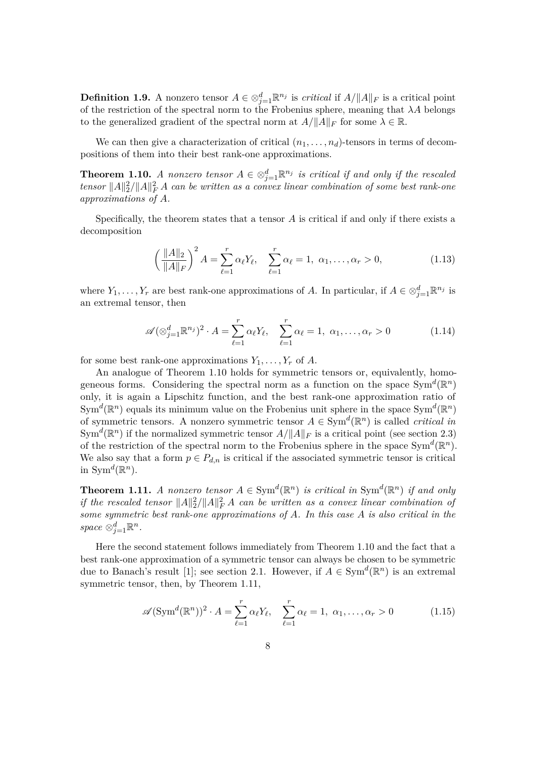**Definition 1.9.** A nonzero tensor  $A \in \otimes_{j=1}^d \mathbb{R}^{n_j}$  is *critical* if  $A/||A||_F$  is a critical point of the restriction of the spectral norm to the Frobenius sphere, meaning that *λA* belongs to the generalized gradient of the spectral norm at  $A/||A||_F$  for some  $\lambda \in \mathbb{R}$ .

We can then give a characterization of critical  $(n_1, \ldots, n_d)$ -tensors in terms of decompositions of them into their best rank-one approximations.

**Theorem 1.10.** *A nonzero tensor*  $A \in \otimes_{j=1}^d \mathbb{R}^{n_j}$  *is critical if and only if the rescaled tensor*  $||A||_2^2/||A||_F^2 A$  *can be written as a convex linear combination of some best rank-one approximations of A.*

Specifically, the theorem states that a tensor *A* is critical if and only if there exists a decomposition

$$
\left(\frac{\|A\|_2}{\|A\|_F}\right)^2 A = \sum_{\ell=1}^r \alpha_\ell Y_\ell, \quad \sum_{\ell=1}^r \alpha_\ell = 1, \ \alpha_1, \dots, \alpha_r > 0,\tag{1.13}
$$

where  $Y_1, \ldots, Y_r$  are best rank-one approximations of *A*. In particular, if  $A \in \otimes_{j=1}^d \mathbb{R}^{n_j}$  is an extremal tensor, then

$$
\mathscr{A}(\otimes_{j=1}^d \mathbb{R}^{n_j})^2 \cdot A = \sum_{\ell=1}^r \alpha_\ell Y_\ell, \quad \sum_{\ell=1}^r \alpha_\ell = 1, \ \alpha_1, \dots, \alpha_r > 0 \tag{1.14}
$$

for some best rank-one approximations  $Y_1, \ldots, Y_r$  of A.

An analogue of Theorem 1.10 holds for symmetric tensors or, equivalently, homogeneous forms. Considering the spectral norm as a function on the space  $Sym^d(\mathbb{R}^n)$ only, it is again a Lipschitz function, and the best rank-one approximation ratio of  $\text{Sym}^d(\mathbb{R}^n)$  equals its minimum value on the Frobenius unit sphere in the space  $\text{Sym}^d(\mathbb{R}^n)$ of symmetric tensors. A nonzero symmetric tensor  $A \in \text{Sym}^d(\mathbb{R}^n)$  is called *critical in*  $Sym<sup>d</sup>(\mathbb{R}<sup>n</sup>)$  if the normalized symmetric tensor  $A/\Vert A \Vert_F$  is a critical point (see section 2.3) of the restriction of the spectral norm to the Frobenius sphere in the space  $Sym^d(\mathbb{R}^n)$ . We also say that a form  $p \in P_{d,n}$  is critical if the associated symmetric tensor is critical in Sym<sup> $d$ </sup>( $\mathbb{R}^n$ ).

**Theorem 1.11.** *A nonzero tensor*  $A \in Sym^d(\mathbb{R}^n)$  *is critical in*  $Sym^d(\mathbb{R}^n)$  *if and only if the rescaled tensor*  $||A||_2^2/||A||_F^2 A$  *can be written as a convex linear combination of some symmetric best rank-one approximations of A. In this case A is also critical in the*  $space \otimes_{j=1}^d \mathbb{R}^n$ .

Here the second statement follows immediately from Theorem 1.10 and the fact that a best rank-one approximation of a symmetric tensor can always be chosen to be symmetric due to Banach's result [1]; see section 2.1. However, if  $A \in Sym^d(\mathbb{R}^n)$  is an extremal symmetric tensor, then, by Theorem 1.11,

$$
\mathscr{A}(\operatorname{Sym}^{d}(\mathbb{R}^{n}))^{2} \cdot A = \sum_{\ell=1}^{r} \alpha_{\ell} Y_{\ell}, \quad \sum_{\ell=1}^{r} \alpha_{\ell} = 1, \ \alpha_{1}, \dots, \alpha_{r} > 0 \tag{1.15}
$$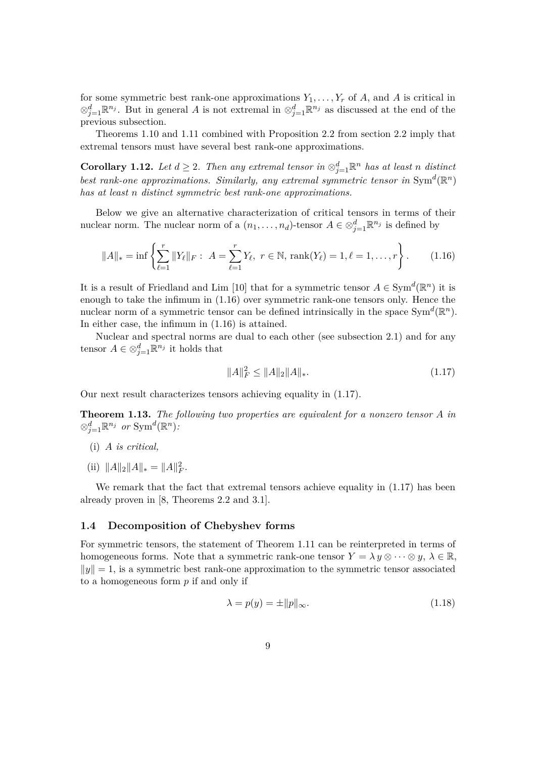for some symmetric best rank-one approximations  $Y_1, \ldots, Y_r$  of A, and A is critical in ⊗<sup>*d*</sup><sub>j</sub>=1</sub> $\mathbb{R}^{n_j}$ . But in general *A* is not extremal in ⊗<sup>*d*</sup><sub>j</sub>=1</sub> $\mathbb{R}^{n_j}$  as discussed at the end of the previous subsection.

Theorems 1.10 and 1.11 combined with Proposition 2.2 from section 2.2 imply that extremal tensors must have several best rank-one approximations.

**Corollary 1.12.** *Let*  $d \geq 2$ . *Then any extremal tensor in*  $\otimes_{j=1}^d \mathbb{R}^n$  *has at least n distinct* best rank-one approximations. Similarly, any extremal symmetric tensor in  $Sym^d(\mathbb{R}^n)$ *has at least n distinct symmetric best rank-one approximations.*

Below we give an alternative characterization of critical tensors in terms of their nuclear norm. The nuclear norm of a  $(n_1, \ldots, n_d)$ -tensor  $A \in \otimes_{j=1}^d \mathbb{R}^{n_j}$  is defined by

$$
||A||_* = \inf \left\{ \sum_{\ell=1}^r ||Y_{\ell}||_F : A = \sum_{\ell=1}^r Y_{\ell}, \ r \in \mathbb{N}, \ \text{rank}(Y_{\ell}) = 1, \ell = 1, \dots, r \right\}.
$$
 (1.16)

It is a result of Friedland and Lim [10] that for a symmetric tensor  $A \in \text{Sym}^d(\mathbb{R}^n)$  it is enough to take the infimum in (1.16) over symmetric rank-one tensors only. Hence the nuclear norm of a symmetric tensor can be defined intrinsically in the space  $Sym^d(\mathbb{R}^n)$ . In either case, the infimum in (1.16) is attained.

Nuclear and spectral norms are dual to each other (see subsection 2.1) and for any tensor  $A \in \otimes_{j=1}^d \mathbb{R}^{n_j}$  it holds that

$$
||A||_F^2 \le ||A||_2 ||A||_*.\tag{1.17}
$$

Our next result characterizes tensors achieving equality in (1.17).

**Theorem 1.13.** *The following two properties are equivalent for a nonzero tensor A in*  $\otimes_{j=1}^d \mathbb{R}^{n_j}$  *or*  $\text{Sym}^d(\mathbb{R}^n)$ *:* 

- (i) *A is critical,*
- (ii)  $||A||_2 ||A||_* = ||A||_F^2$ .

We remark that the fact that extremal tensors achieve equality in  $(1.17)$  has been already proven in [8, Theorems 2.2 and 3.1].

#### **1.4 Decomposition of Chebyshev forms**

For symmetric tensors, the statement of Theorem 1.11 can be reinterpreted in terms of homogeneous forms. Note that a symmetric rank-one tensor  $Y = \lambda y \otimes \cdots \otimes y$ ,  $\lambda \in \mathbb{R}$ ,  $\|y\| = 1$ , is a symmetric best rank-one approximation to the symmetric tensor associated to a homogeneous form *p* if and only if

$$
\lambda = p(y) = \pm \|p\|_{\infty}.\tag{1.18}
$$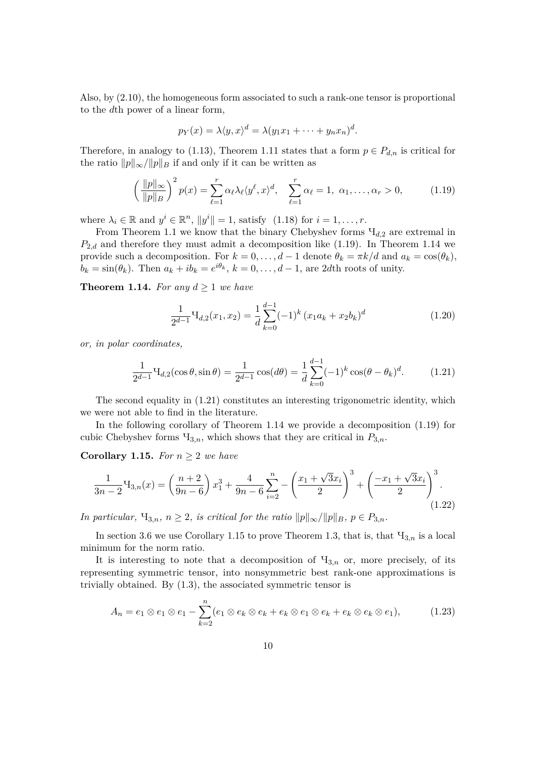Also, by (2.10), the homogeneous form associated to such a rank-one tensor is proportional to the *d*th power of a linear form,

$$
p_Y(x) = \lambda \langle y, x \rangle^d = \lambda (y_1 x_1 + \dots + y_n x_n)^d.
$$

Therefore, in analogy to (1.13), Theorem 1.11 states that a form  $p \in P_{d,n}$  is critical for the ratio  $||p||_{\infty}/||p||_B$  if and only if it can be written as

$$
\left(\frac{\|p\|_{\infty}}{\|p\|_{B}}\right)^{2} p(x) = \sum_{\ell=1}^{r} \alpha_{\ell} \lambda_{\ell} \langle y^{\ell}, x \rangle^{d}, \quad \sum_{\ell=1}^{r} \alpha_{\ell} = 1, \ \alpha_{1}, \dots, \alpha_{r} > 0, \tag{1.19}
$$

where  $\lambda_i \in \mathbb{R}$  and  $y^i \in \mathbb{R}^n$ ,  $||y^i|| = 1$ , satisfy  $(1.18)$  for  $i = 1, \ldots, r$ .

From Theorem 1.1 we know that the binary Chebyshev forms Ч*d,*<sup>2</sup> are extremal in  $P_{2,d}$  and therefore they must admit a decomposition like  $(1.19)$ . In Theorem 1.14 we provide such a decomposition. For  $k = 0, \ldots, d - 1$  denote  $\theta_k = \pi k/d$  and  $a_k = \cos(\theta_k)$ ,  $b_k = \sin(\theta_k)$ . Then  $a_k + ib_k = e^{i\theta_k}, k = 0, \ldots, d-1$ , are 2*d*th roots of unity.

**Theorem 1.14.** For any  $d > 1$  we have

$$
\frac{1}{2^{d-1}}\mathbf{H}_{d,2}(x_1,x_2) = \frac{1}{d}\sum_{k=0}^{d-1}(-1)^k (x_1a_k + x_2b_k)^d
$$
\n(1.20)

*or, in polar coordinates,*

$$
\frac{1}{2^{d-1}}\mathbf{H}_{d,2}(\cos\theta,\sin\theta) = \frac{1}{2^{d-1}}\cos(d\theta) = \frac{1}{d}\sum_{k=0}^{d-1}(-1)^k\cos(\theta-\theta_k)^d.
$$
 (1.21)

The second equality in  $(1.21)$  constitutes an interesting trigonometric identity, which we were not able to find in the literature.

In the following corollary of Theorem 1.14 we provide a decomposition (1.19) for cubic Chebyshev forms  $\mathcal{H}_{3,n}$ , which shows that they are critical in  $P_{3,n}$ .

**Corollary 1.15.** *For*  $n \geq 2$  *we have* 

$$
\frac{1}{3n-2}\mathbf{H}_{3,n}(x) = \left(\frac{n+2}{9n-6}\right)x_1^3 + \frac{4}{9n-6}\sum_{i=2}^n -\left(\frac{x_1+\sqrt{3}x_i}{2}\right)^3 + \left(\frac{-x_1+\sqrt{3}x_i}{2}\right)^3.
$$
\n(1.22)

*In particular,*  $H_{3,n}$ *,*  $n \geq 2$ *, is critical for the ratio*  $||p||_{\infty}/||p||_{B}$ *,*  $p \in P_{3,n}$ *.* 

In section 3.6 we use Corollary 1.15 to prove Theorem 1.3, that is, that  $\Pi_{3,n}$  is a local minimum for the norm ratio.

It is interesting to note that a decomposition of  $\mathcal{H}_{3,n}$  or, more precisely, of its representing symmetric tensor, into nonsymmetric best rank-one approximations is trivially obtained. By (1.3), the associated symmetric tensor is

$$
A_n = e_1 \otimes e_1 \otimes e_1 - \sum_{k=2}^n (e_1 \otimes e_k \otimes e_k + e_k \otimes e_1 \otimes e_k + e_k \otimes e_k \otimes e_1), \qquad (1.23)
$$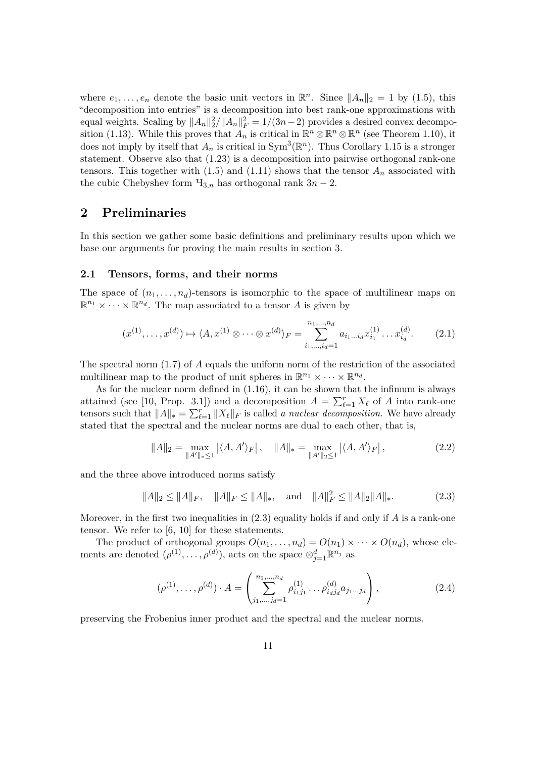where  $e_1, \ldots, e_n$  denote the basic unit vectors in  $\mathbb{R}^n$ . Since  $||A_n||_2 = 1$  by (1.5), this "decomposition into entries" is a decomposition into best rank-one approximations with equal weights. Scaling by  $||A_n||_2^2/||A_n||_F^2 = 1/(3n-2)$  provides a desired convex decomposition (1.13). While this proves that  $\overline{A}_n$  is critical in  $\mathbb{R}^n \otimes \mathbb{R}^n \otimes \mathbb{R}^n$  (see Theorem 1.10), it does not imply by itself that  $A_n$  is critical in  $Sym^3(\mathbb{R}^n)$ . Thus Corollary 1.15 is a stronger statement. Observe also that (1.23) is a decomposition into pairwise orthogonal rank-one tensors. This together with  $(1.5)$  and  $(1.11)$  shows that the tensor  $A_n$  associated with the cubic Chebyshev form  $\Pi_{3,n}$  has orthogonal rank  $3n-2$ .

# **2 Preliminaries**

In this section we gather some basic definitions and preliminary results upon which we base our arguments for proving the main results in section 3.

#### **2.1 Tensors, forms, and their norms**

The space of  $(n_1, \ldots, n_d)$ -tensors is isomorphic to the space of multilinear maps on  $\mathbb{R}^{n_1} \times \cdots \times \mathbb{R}^{n_d}$ . The map associated to a tensor *A* is given by

$$
(x^{(1)}, \ldots, x^{(d)}) \mapsto \langle A, x^{(1)} \otimes \cdots \otimes x^{(d)} \rangle_F = \sum_{i_1, \ldots, i_d=1}^{n_1, \ldots, n_d} a_{i_1 \ldots i_d} x_{i_1}^{(1)} \ldots x_{i_d}^{(d)}.
$$
 (2.1)

The spectral norm (1.7) of *A* equals the uniform norm of the restriction of the associated multilinear map to the product of unit spheres in  $\mathbb{R}^{n_1} \times \cdots \times \mathbb{R}^{n_d}$ .

As for the nuclear norm defined in (1.16), it can be shown that the infimum is always attained (see [10, Prop. 3.1]) and a decomposition  $A = \sum_{\ell=1}^{r} X_{\ell}$  of *A* into rank-one tensors such that  $||A||_* = \sum_{\ell=1}^r ||X_\ell||_F$  is called *a nuclear decomposition*. We have already stated that the spectral and the nuclear norms are dual to each other, that is,

$$
||A||_2 = \max_{||A'||_* \le 1} |\langle A, A' \rangle_F|, \quad ||A||_* = \max_{||A'||_2 \le 1} |\langle A, A' \rangle_F|,
$$
 (2.2)

and the three above introduced norms satisfy

$$
||A||_2 \le ||A||_F, \quad ||A||_F \le ||A||_*, \quad \text{and} \quad ||A||_F^2 \le ||A||_2 ||A||_*.
$$
 (2.3)

Moreover, in the first two inequalities in (2.3) equality holds if and only if *A* is a rank-one tensor. We refer to [6, 10] for these statements.

The product of orthogonal groups  $O(n_1, \ldots, n_d) = O(n_1) \times \cdots \times O(n_d)$ , whose elements are denoted  $(\rho^{(1)}, \ldots, \rho^{(d)})$ , acts on the space  $\otimes_{j=1}^d \mathbb{R}^{n_j}$  as

$$
(\rho^{(1)}, \dots, \rho^{(d)}) \cdot A = \left( \sum_{j_1, \dots, j_d = 1}^{n_1, \dots, n_d} \rho_{i_1 j_1}^{(1)} \dots \rho_{i_d j_d}^{(d)} a_{j_1 \dots j_d} \right),
$$
 (2.4)

preserving the Frobenius inner product and the spectral and the nuclear norms.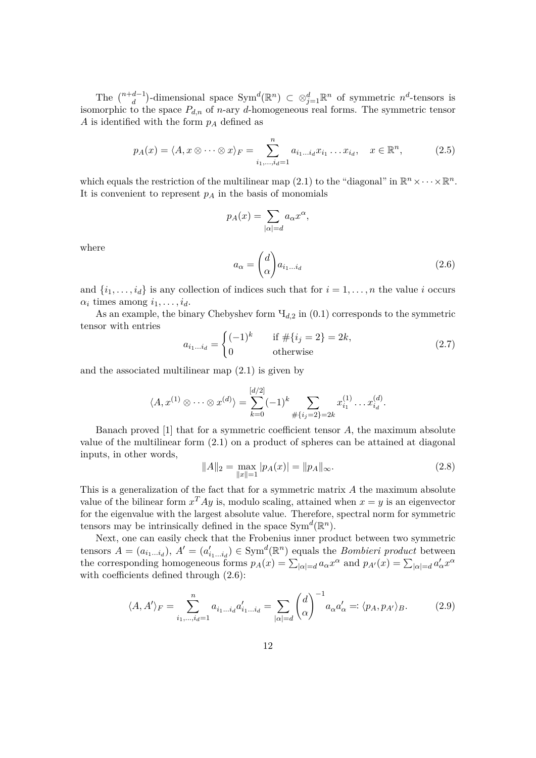The  $\binom{n+d-1}{d}$ -dimensional space  $Sym^d(\mathbb{R}^n) \subset \otimes_{j=1}^d \mathbb{R}^n$  of symmetric  $n^d$ -tensors is isomorphic to the space  $P_{d,n}$  of *n*-ary *d*-homogeneous real forms. The symmetric tensor *A* is identified with the form *p<sup>A</sup>* defined as

$$
p_A(x) = \langle A, x \otimes \cdots \otimes x \rangle_F = \sum_{i_1, \ldots, i_d = 1}^n a_{i_1 \ldots i_d} x_{i_1} \ldots x_{i_d}, \quad x \in \mathbb{R}^n,
$$
 (2.5)

which equals the restriction of the multilinear map (2.1) to the "diagonal" in  $\mathbb{R}^n \times \cdots \times \mathbb{R}^n$ . It is convenient to represent  $p_A$  in the basis of monomials

$$
p_A(x) = \sum_{|\alpha|=d} a_{\alpha} x^{\alpha},
$$

where

$$
a_{\alpha} = \begin{pmatrix} d \\ \alpha \end{pmatrix} a_{i_1 \dots i_d} \tag{2.6}
$$

and  $\{i_1, \ldots, i_d\}$  is any collection of indices such that for  $i = 1, \ldots, n$  the value *i* occurs  $\alpha_i$  times among  $i_1, \ldots, i_d$ .

As an example, the binary Chebyshev form  $\Psi_{d,2}$  in  $(0.1)$  corresponds to the symmetric tensor with entries

$$
a_{i_1...i_d} = \begin{cases} (-1)^k & \text{if } #\{i_j = 2\} = 2k, \\ 0 & \text{otherwise} \end{cases}
$$
 (2.7)

and the associated multilinear map (2.1) is given by

$$
\langle A, x^{(1)} \otimes \cdots \otimes x^{(d)} \rangle = \sum_{k=0}^{[d/2]} (-1)^k \sum_{\# \{i_j = 2\} = 2k} x_{i_1}^{(1)} \cdots x_{i_d}^{(d)}.
$$

Banach proved [1] that for a symmetric coefficient tensor *A*, the maximum absolute value of the multilinear form (2.1) on a product of spheres can be attained at diagonal inputs, in other words,

$$
||A||_2 = \max_{||x||=1} |p_A(x)| = ||p_A||_{\infty}.
$$
\n(2.8)

This is a generalization of the fact that for a symmetric matrix *A* the maximum absolute value of the bilinear form  $x^T A y$  is, modulo scaling, attained when  $x = y$  is an eigenvector for the eigenvalue with the largest absolute value. Therefore, spectral norm for symmetric tensors may be intrinsically defined in the space  $Sym^d(\mathbb{R}^n)$ .

Next, one can easily check that the Frobenius inner product between two symmetric tensors  $A = (a_{i_1...i_d})$ ,  $A' = (a'_{i_1...i_d}) \in \text{Sym}^d(\mathbb{R}^n)$  equals the *Bombieri product* between the corresponding homogeneous forms  $p_A(x) = \sum_{|\alpha|=d} a_{\alpha} x^{\alpha}$  and  $p_{A'}(x) = \sum_{|\alpha|=d} a_{\alpha}' x^{\alpha}$ with coefficients defined through (2.6):

$$
\langle A, A' \rangle_F = \sum_{i_1, \dots, i_d = 1}^n a_{i_1 \dots i_d} a'_{i_1 \dots i_d} = \sum_{|\alpha| = d} \binom{d}{\alpha}^{-1} a_{\alpha} a'_{\alpha} =: \langle p_A, p_{A'} \rangle_B. \tag{2.9}
$$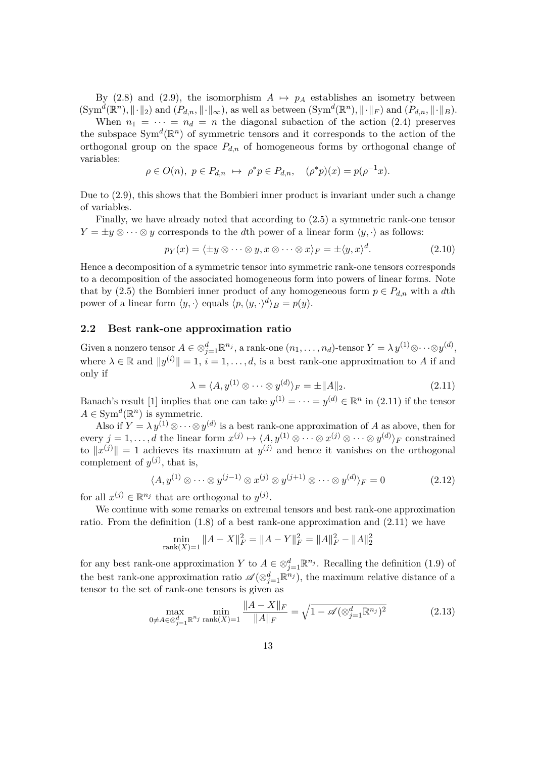By (2.8) and (2.9), the isomorphism  $A \mapsto p_A$  establishes an isometry between  $(Sym^d(\mathbb{R}^n), \|\cdot\|_2)$  and  $(P_{d,n}, \|\cdot\|_{\infty})$ , as well as between  $(Sym^d(\mathbb{R}^n), \|\cdot\|_F)$  and  $(P_{d,n}, \|\cdot\|_B)$ .

When  $n_1 = \cdots = n_d = n$  the diagonal subaction of the action (2.4) preserves the subspace  $Sym<sup>d</sup>(\mathbb{R}<sup>n</sup>)$  of symmetric tensors and it corresponds to the action of the orthogonal group on the space  $P_{d,n}$  of homogeneous forms by orthogonal change of variables:

$$
\rho \in O(n), \ p \in P_{d,n} \ \mapsto \ \rho^* p \in P_{d,n}, \quad (\rho^* p)(x) = p(\rho^{-1} x).
$$

Due to (2.9), this shows that the Bombieri inner product is invariant under such a change of variables.

Finally, we have already noted that according to (2.5) a symmetric rank-one tensor  $Y = \pm y \otimes \cdots \otimes y$  corresponds to the *d*th power of a linear form  $\langle y, \cdot \rangle$  as follows:

$$
p_Y(x) = \langle \pm y \otimes \cdots \otimes y, x \otimes \cdots \otimes x \rangle_F = \pm \langle y, x \rangle^d. \tag{2.10}
$$

Hence a decomposition of a symmetric tensor into symmetric rank-one tensors corresponds to a decomposition of the associated homogeneous form into powers of linear forms. Note that by (2.5) the Bombieri inner product of any homogeneous form  $p \in P_{d,n}$  with a *d*th power of a linear form  $\langle y, \cdot \rangle$  equals  $\langle p, \langle y, \cdot \rangle^d \rangle_B = p(y)$ .

#### **2.2 Best rank-one approximation ratio**

Given a nonzero tensor  $A \in \otimes_{j=1}^d \mathbb{R}^{n_j}$ , a rank-one  $(n_1, \ldots, n_d)$ -tensor  $Y = \lambda y^{(1)} \otimes \cdots \otimes y^{(d)}$ , where  $\lambda \in \mathbb{R}$  and  $||y^{(i)}|| = 1$ ,  $i = 1, ..., d$ , is a best rank-one approximation to *A* if and only if

$$
\lambda = \langle A, y^{(1)} \otimes \cdots \otimes y^{(d)} \rangle_F = \pm ||A||_2. \tag{2.11}
$$

Banach's result [1] implies that one can take  $y^{(1)} = \cdots = y^{(d)} \in \mathbb{R}^n$  in (2.11) if the tensor  $A \in \text{Sym}^d(\mathbb{R}^n)$  is symmetric.

Also if  $Y = \lambda y^{(1)} \otimes \cdots \otimes y^{(d)}$  is a best rank-one approximation of *A* as above, then for  $\text{every } j = 1, \ldots, d \text{ the linear form } x^{(j)} \mapsto \langle A, y^{(1)} \otimes \cdots \otimes x^{(j)} \otimes \cdots \otimes y^{(d)} \rangle_F \text{ constrained}$ to  $||x^{(j)}|| = 1$  achieves its maximum at  $y^{(j)}$  and hence it vanishes on the orthogonal complement of  $y^{(j)}$ , that is,

$$
\langle A, y^{(1)} \otimes \cdots \otimes y^{(j-1)} \otimes x^{(j)} \otimes y^{(j+1)} \otimes \cdots \otimes y^{(d)} \rangle_F = 0 \tag{2.12}
$$

for all  $x^{(j)} \in \mathbb{R}^{n_j}$  that are orthogonal to  $y^{(j)}$ .

We continue with some remarks on extremal tensors and best rank-one approximation ratio. From the definition (1.8) of a best rank-one approximation and (2.11) we have

$$
\min_{\text{rank}(X)=1} \|A - X\|_F^2 = \|A - Y\|_F^2 = \|A\|_F^2 - \|A\|_2^2
$$

for any best rank-one approximation *Y* to  $A \in \otimes_{j=1}^d \mathbb{R}^{n_j}$ . Recalling the definition (1.9) of the best rank-one approximation ratio  $\mathscr{A}(\otimes_{j=1}^d \mathbb{R}^{n_j})$ , the maximum relative distance of a tensor to the set of rank-one tensors is given as

$$
\max_{0 \neq A \in \otimes_{j=1}^{d} \mathbb{R}^{n_j} \text{ rank}(X) = 1} \frac{\|A - X\|_{F}}{\|A\|_{F}} = \sqrt{1 - \mathscr{A}(\otimes_{j=1}^{d} \mathbb{R}^{n_j})^2}
$$
(2.13)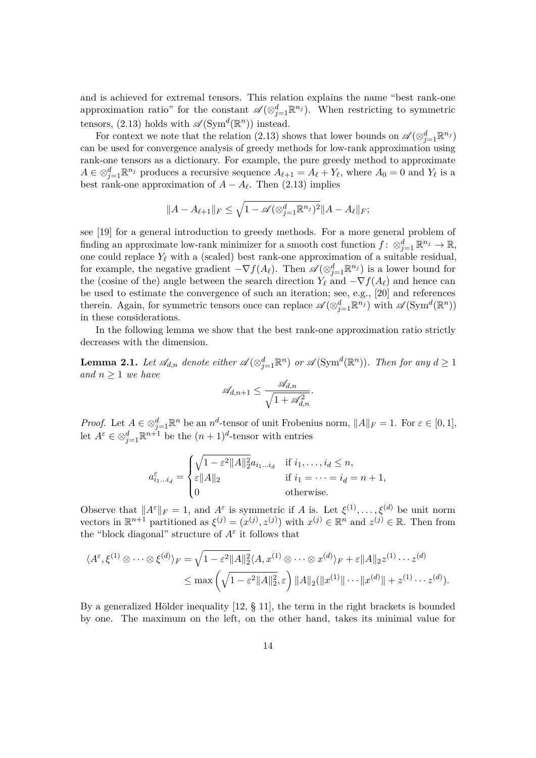and is achieved for extremal tensors. This relation explains the name "best rank-one approximation ratio" for the constant  $\mathscr{A}(\otimes_{j=1}^d \mathbb{R}^{n_j})$ . When restricting to symmetric tensors, (2.13) holds with  $\mathscr{A}(\text{Sym}^d(\mathbb{R}^n))$  instead.

For context we note that the relation (2.13) shows that lower bounds on  $\mathscr{A}(\otimes_{j=1}^{d} \mathbb{R}^{n_j})$ can be used for convergence analysis of greedy methods for low-rank approximation using rank-one tensors as a dictionary. For example, the pure greedy method to approximate  $A \in \otimes_{j=1}^d \mathbb{R}^{n_j}$  produces a recursive sequence  $A_{\ell+1} = A_{\ell} + Y_{\ell}$ , where  $A_0 = 0$  and  $Y_{\ell}$  is a best rank-one approximation of  $A - A_{\ell}$ . Then (2.13) implies

$$
||A - A_{\ell+1}||_F \le \sqrt{1 - \mathscr{A}(\otimes_{j=1}^d \mathbb{R}^{n_j})^2} ||A - A_{\ell}||_F;
$$

see [19] for a general introduction to greedy methods. For a more general problem of finding an approximate low-rank minimizer for a smooth cost function  $f: \otimes_{j=1}^d \mathbb{R}^{n_j} \to \mathbb{R}$ , one could replace  $Y_\ell$  with a (scaled) best rank-one approximation of a suitable residual, for example, the negative gradient  $-\nabla f(A_\ell)$ . Then  $\mathscr{A}(\otimes_{j=1}^d \mathbb{R}^{n_j})$  is a lower bound for the (cosine of the) angle between the search direction  $Y_\ell$  and  $-\nabla f(A_\ell)$  and hence can be used to estimate the convergence of such an iteration; see, e.g., [20] and references therein. Again, for symmetric tensors once can replace  $\mathscr{A}(\otimes_{j=1}^d \mathbb{R}^{n_j})$  with  $\mathscr{A}(\text{Sym}^d(\mathbb{R}^n))$ in these considerations.

In the following lemma we show that the best rank-one approximation ratio strictly decreases with the dimension.

**Lemma 2.1.** Let  $\mathscr{A}_{d,n}$  denote either  $\mathscr{A}(\otimes_{j=1}^d \mathbb{R}^n)$  or  $\mathscr{A}(\text{Sym}^d(\mathbb{R}^n))$ . Then for any  $d \geq 1$ *and n* ≥ 1 *we have*

$$
\mathscr{A}_{d,n+1} \leq \frac{\mathscr{A}_{d,n}}{\sqrt{1 + \mathscr{A}_{d,n}^2}}.
$$

*Proof.* Let  $A \in \otimes_{j=1}^d \mathbb{R}^n$  be an  $n^d$ -tensor of unit Frobenius norm,  $||A||_F = 1$ . For  $\varepsilon \in [0,1]$ , let  $A^{\varepsilon} \in \otimes_{j=1}^{d} \mathbb{R}^{n+1}$  be the  $(n+1)^{d}$ -tensor with entries

$$
a_{i_1\ldots i_d}^{\varepsilon} = \begin{cases} \sqrt{1-\varepsilon^2 \|A\|_2^2} a_{i_1\ldots i_d} & \text{if } i_1, \ldots, i_d \le n, \\ \varepsilon \|A\|_2 & \text{if } i_1 = \cdots = i_d = n+1, \\ 0 & \text{otherwise.} \end{cases}
$$

Observe that  $||A^{\varepsilon}||_F = 1$ , and  $A^{\varepsilon}$  is symmetric if *A* is. Let  $\xi^{(1)}, \ldots, \xi^{(d)}$  be unit norm vectors in  $\mathbb{R}^{n+1}$  partitioned as  $\xi^{(j)} = (x^{(j)}, z^{(j)})$  with  $x^{(j)} \in \mathbb{R}^n$  and  $z^{(j)} \in \mathbb{R}$ . Then from the "block diagonal" structure of  $A^{\varepsilon}$  it follows that

$$
\langle A^{\varepsilon}, \xi^{(1)} \otimes \cdots \otimes \xi^{(d)} \rangle_F = \sqrt{1 - \varepsilon^2 \|A\|_2^2} \langle A, x^{(1)} \otimes \cdots \otimes x^{(d)} \rangle_F + \varepsilon \|A\|_2 z^{(1)} \cdots z^{(d)}
$$
  

$$
\leq \max \left( \sqrt{1 - \varepsilon^2 \|A\|_2^2}, \varepsilon \right) \|A\|_2 (\|x^{(1)}\| \cdots \|x^{(d)}\| + z^{(1)} \cdots z^{(d)}).
$$

By a generalized Hölder inequality [12, § 11], the term in the right brackets is bounded by one. The maximum on the left, on the other hand, takes its minimal value for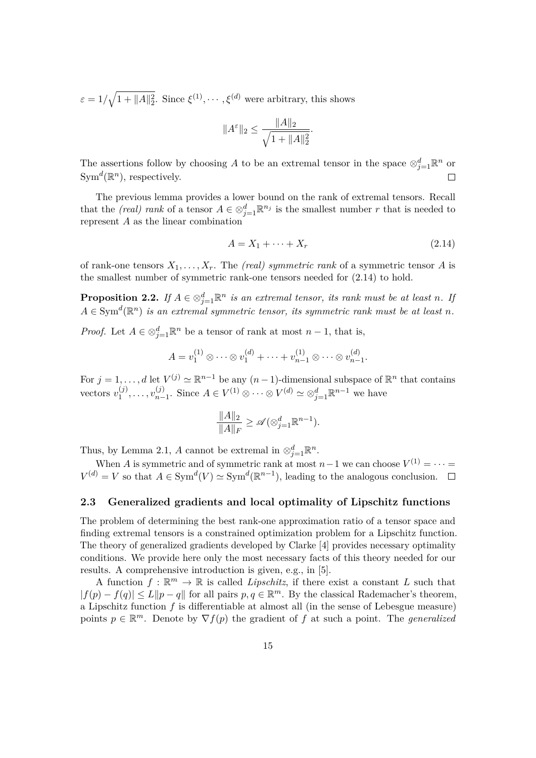$\varepsilon = 1/\sqrt{1 + \|A\|_2^2}$ . Since  $\xi^{(1)}, \dots, \xi^{(d)}$  were arbitrary, this shows

$$
||A^{\varepsilon}||_2 \le \frac{||A||_2}{\sqrt{1 + ||A||_2^2}}.
$$

The assertions follow by choosing *A* to be an extremal tensor in the space  $\otimes_{j=1}^d \mathbb{R}^n$  or  $Sym^d(\mathbb{R}^n)$ , respectively.

The previous lemma provides a lower bound on the rank of extremal tensors. Recall that the *(real) rank* of a tensor  $A \in \otimes_{j=1}^d \mathbb{R}^{n_j}$  is the smallest number *r* that is needed to represent *A* as the linear combination

$$
A = X_1 + \dots + X_r \tag{2.14}
$$

of rank-one tensors  $X_1, \ldots, X_r$ . The *(real) symmetric rank* of a symmetric tensor *A* is the smallest number of symmetric rank-one tensors needed for (2.14) to hold.

**Proposition 2.2.** *If*  $A \in \otimes_{j=1}^d \mathbb{R}^n$  *is an extremal tensor, its rank must be at least n. If*  $A \in \text{Sym}^d(\mathbb{R}^n)$  *is an extremal symmetric tensor, its symmetric rank must be at least n.* 

*Proof.* Let  $A \in \otimes_{j=1}^d \mathbb{R}^n$  be a tensor of rank at most  $n-1$ , that is,

$$
A = v_1^{(1)} \otimes \cdots \otimes v_1^{(d)} + \cdots + v_{n-1}^{(1)} \otimes \cdots \otimes v_{n-1}^{(d)}.
$$

For  $j = 1, \ldots, d$  let  $V^{(j)} \simeq \mathbb{R}^{n-1}$  be any  $(n-1)$ -dimensional subspace of  $\mathbb{R}^n$  that contains vectors  $v_1^{(j)}$  $v_1^{(j)}, \ldots, v_{n-1}^{(j)}$  $\sum_{n=1}^{(j)}$ . Since *A* ∈ *V*<sup>(1)</sup> ⊗ · · · ⊗ *V*<sup>(*d*)</sup>  $\simeq \otimes_{j=1}^{d} \mathbb{R}^{n-1}$  we have

$$
\frac{\|A\|_2}{\|A\|_F} \ge \mathscr{A}(\otimes_{j=1}^d \mathbb{R}^{n-1}).
$$

Thus, by Lemma 2.1, *A* cannot be extremal in  $\otimes_{j=1}^d \mathbb{R}^n$ .

When *A* is symmetric and of symmetric rank at most  $n-1$  we can choose  $V^{(1)} = \cdots =$  $V^{(d)} = V$  so that  $A \in \text{Sym}^d(V) \simeq \text{Sym}^d(\mathbb{R}^{n-1})$ , leading to the analogous conclusion.

#### **2.3 Generalized gradients and local optimality of Lipschitz functions**

The problem of determining the best rank-one approximation ratio of a tensor space and finding extremal tensors is a constrained optimization problem for a Lipschitz function. The theory of generalized gradients developed by Clarke [4] provides necessary optimality conditions. We provide here only the most necessary facts of this theory needed for our results. A comprehensive introduction is given, e.g., in [5].

A function  $f : \mathbb{R}^m \to \mathbb{R}$  is called *Lipschitz*, if there exist a constant *L* such that  $|f(p) - f(q)| \le L \|p - q\|$  for all pairs  $p, q \in \mathbb{R}^m$ . By the classical Rademacher's theorem, a Lipschitz function *f* is differentiable at almost all (in the sense of Lebesgue measure) points  $p \in \mathbb{R}^m$ . Denote by  $\nabla f(p)$  the gradient of *f* at such a point. The *generalized*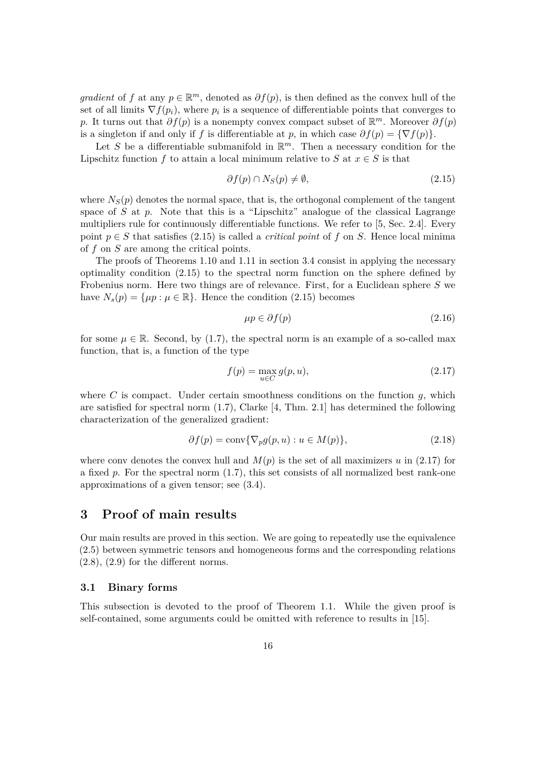*gradient* of *f* at any  $p \in \mathbb{R}^m$ , denoted as  $\partial f(p)$ , is then defined as the convex hull of the set of all limits  $\nabla f(p_i)$ , where  $p_i$  is a sequence of differentiable points that converges to *p*. It turns out that  $\partial f(p)$  is a nonempty convex compact subset of  $\mathbb{R}^m$ . Moreover  $\partial f(p)$ is a singleton if and only if *f* is differentiable at *p*, in which case  $\partial f(p) = \{ \nabla f(p) \}.$ 

Let *S* be a differentiable submanifold in  $\mathbb{R}^m$ . Then a necessary condition for the Lipschitz function *f* to attain a local minimum relative to *S* at  $x \in S$  is that

$$
\partial f(p) \cap N_S(p) \neq \emptyset, \tag{2.15}
$$

where  $N<sub>S</sub>(p)$  denotes the normal space, that is, the orthogonal complement of the tangent space of *S* at *p*. Note that this is a "Lipschitz" analogue of the classical Lagrange multipliers rule for continuously differentiable functions. We refer to [5, Sec. 2.4]. Every point  $p \in S$  that satisfies (2.15) is called a *critical point* of f on *S*. Hence local minima of *f* on *S* are among the critical points.

The proofs of Theorems 1.10 and 1.11 in section 3.4 consist in applying the necessary optimality condition (2.15) to the spectral norm function on the sphere defined by Frobenius norm. Here two things are of relevance. First, for a Euclidean sphere *S* we have  $N_s(p) = \{ \mu p : \mu \in \mathbb{R} \}.$  Hence the condition (2.15) becomes

$$
\mu p \in \partial f(p) \tag{2.16}
$$

for some  $\mu \in \mathbb{R}$ . Second, by (1.7), the spectral norm is an example of a so-called max function, that is, a function of the type

$$
f(p) = \max_{u \in C} g(p, u),\tag{2.17}
$$

where *C* is compact. Under certain smoothness conditions on the function  $q$ , which are satisfied for spectral norm (1.7), Clarke [4, Thm. 2.1] has determined the following characterization of the generalized gradient:

$$
\partial f(p) = \text{conv}\{\nabla_p g(p, u) : u \in M(p)\},\tag{2.18}
$$

where conv denotes the convex hull and  $M(p)$  is the set of all maximizers *u* in (2.17) for a fixed *p*. For the spectral norm (1.7), this set consists of all normalized best rank-one approximations of a given tensor; see (3.4).

# **3 Proof of main results**

Our main results are proved in this section. We are going to repeatedly use the equivalence (2.5) between symmetric tensors and homogeneous forms and the corresponding relations  $(2.8)$ ,  $(2.9)$  for the different norms.

#### **3.1 Binary forms**

This subsection is devoted to the proof of Theorem 1.1. While the given proof is self-contained, some arguments could be omitted with reference to results in [15].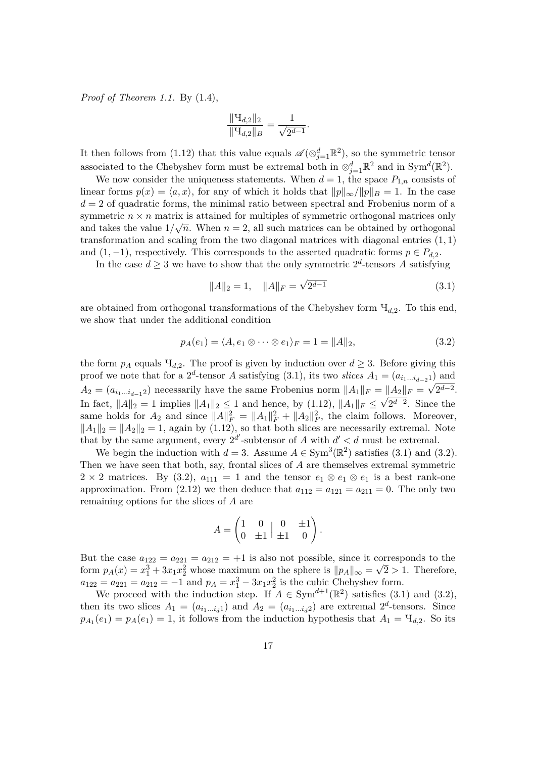*Proof of Theorem 1.1.* By (1.4),

$$
\frac{\|\mathbf{H}_{d,2}\|_{2}}{\|\mathbf{H}_{d,2}\|_{B}} = \frac{1}{\sqrt{2^{d-1}}}.
$$

It then follows from (1.12) that this value equals  $\mathscr{A}(\otimes_{j=1}^d \mathbb{R}^2)$ , so the symmetric tensor associated to the Chebyshev form must be extremal both in  $\otimes_{j=1}^d \mathbb{R}^2$  and in Sym<sup>*d*</sup>( $\mathbb{R}^2$ ).

We now consider the uniqueness statements. When  $d = 1$ , the space  $P_{1,n}$  consists of linear forms  $p(x) = \langle a, x \rangle$ , for any of which it holds that  $||p||_{\infty}/||p||_B = 1$ . In the case  $d = 2$  of quadratic forms, the minimal ratio between spectral and Frobenius norm of a symmetric  $n \times n$  matrix is attained for multiples of symmetric orthogonal matrices only and takes the value  $1/\sqrt{n}$ . When  $n=2$ , all such matrices can be obtained by orthogonal transformation and scaling from the two diagonal matrices with diagonal entries (1*,* 1) and  $(1, -1)$ , respectively. This corresponds to the asserted quadratic forms  $p \in P_{d,2}$ .

In the case  $d \geq 3$  we have to show that the only symmetric  $2^d$ -tensors A satisfying

$$
||A||_2 = 1, \quad ||A||_F = \sqrt{2^{d-1}} \tag{3.1}
$$

are obtained from orthogonal transformations of the Chebyshev form Ч*d,*2. To this end, we show that under the additional condition

$$
p_A(e_1) = \langle A, e_1 \otimes \cdots \otimes e_1 \rangle_F = 1 = ||A||_2,\tag{3.2}
$$

the form  $p_A$  equals  $\Pi_{d,2}$ . The proof is given by induction over  $d \geq 3$ . Before giving this proof we note that for a 2<sup>*d*</sup>-tensor *A* satisfying (3.1), its two *slices*  $A_1 = (a_{i_1...i_{d-2}1})$  and  $A_2 = (a_{i_1...i_{d-1}2})$  necessarily have the same Frobenius norm  $||A_1||_F = ||A_2||_F = \sqrt{2^{d-2}}$ . In fact,  $||A||_2 = 1$  implies  $||A_1||_2 \le 1$  and hence, by (1.12),  $||A_1||_F \le \sqrt{2^{d-2}}$ . Since the same holds for  $A_2$  and since  $||A||_F^2 = ||A_1||_F^2 + ||A_2||_F^2$ , the claim follows. Moreover,  $||A_1||_2 = ||A_2||_2 = 1$ , again by (1.12), so that both slices are necessarily extremal. Note that by the same argument, every  $2^{d'}$ -subtensor of *A* with  $d' < d$  must be extremal.

We begin the induction with  $d = 3$ . Assume  $A \in \text{Sym}^3(\mathbb{R}^2)$  satisfies (3.1) and (3.2). Then we have seen that both, say, frontal slices of *A* are themselves extremal symmetric  $2 \times 2$  matrices. By (3.2),  $a_{111} = 1$  and the tensor  $e_1 \otimes e_1 \otimes e_1$  is a best rank-one approximation. From (2.12) we then deduce that  $a_{112} = a_{121} = a_{211} = 0$ . The only two remaining options for the slices of *A* are

$$
A = \begin{pmatrix} 1 & 0 & 0 & \pm 1 \\ 0 & \pm 1 & \pm 1 & 0 \end{pmatrix}.
$$

But the case  $a_{122} = a_{221} = a_{212} = +1$  is also not possible, since it corresponds to the form  $p_A(x) = x_1^3 + 3x_1x_2^2$  whose maximum on the sphere is  $||p_A||_{\infty} = \sqrt{2} > 1$ . Therefore,  $a_{122} = a_{221} = a_{212} = -1$  and  $p_A = x_1^3 - 3x_1x_2^2$  is the cubic Chebyshev form.

We proceed with the induction step. If  $A \in Sym^{d+1}(\mathbb{R}^2)$  satisfies (3.1) and (3.2), then its two slices  $A_1 = (a_{i_1...i_d1})$  and  $A_2 = (a_{i_1...i_d2})$  are extremal  $2^d$ -tensors. Since  $p_{A_1}(e_1) = p_A(e_1) = 1$ , it follows from the induction hypothesis that  $A_1 = \mathcal{H}_{d,2}$ . So its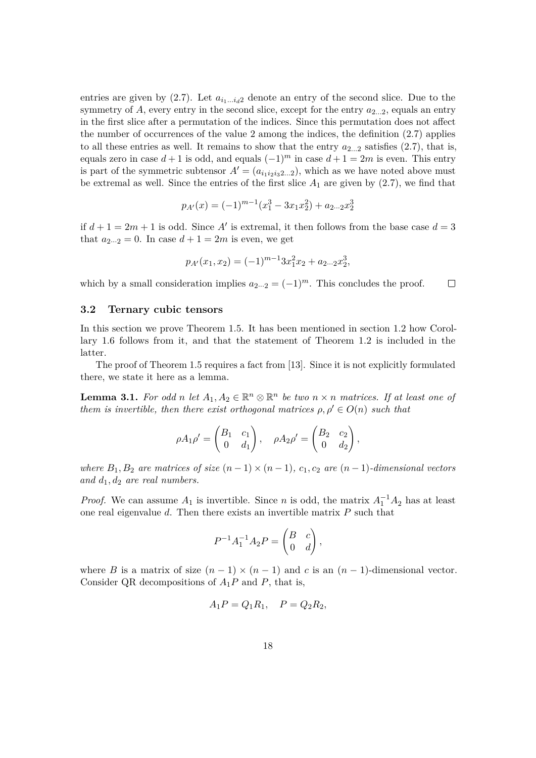entries are given by  $(2.7)$ . Let  $a_{i_1...i_d}$  denote an entry of the second slice. Due to the symmetry of  $A$ , every entry in the second slice, except for the entry  $a_{2...2}$ , equals an entry in the first slice after a permutation of the indices. Since this permutation does not affect the number of occurrences of the value 2 among the indices, the definition (2.7) applies to all these entries as well. It remains to show that the entry  $a_{2...2}$  satisfies  $(2.7)$ , that is, equals zero in case  $d + 1$  is odd, and equals  $(-1)^m$  in case  $d + 1 = 2m$  is even. This entry is part of the symmetric subtensor  $A' = (a_{i_1 i_2 i_3 2...2})$ , which as we have noted above must be extremal as well. Since the entries of the first slice  $A_1$  are given by  $(2.7)$ , we find that

$$
p_{A'}(x) = (-1)^{m-1}(x_1^3 - 3x_1x_2^2) + a_{2\cdots 2}x_2^3
$$

if  $d+1=2m+1$  is odd. Since A' is extremal, it then follows from the base case  $d=3$ that  $a_{2\cdots 2} = 0$ . In case  $d + 1 = 2m$  is even, we get

$$
p_{A'}(x_1, x_2) = (-1)^{m-1} 3x_1^2 x_2 + a_{2\cdots 2} x_2^3,
$$

which by a small consideration implies  $a_{2\cdots 2} = (-1)^m$ . This concludes the proof.  $\Box$ 

#### **3.2 Ternary cubic tensors**

In this section we prove Theorem 1.5. It has been mentioned in section 1.2 how Corollary 1.6 follows from it, and that the statement of Theorem 1.2 is included in the latter.

The proof of Theorem 1.5 requires a fact from [13]. Since it is not explicitly formulated there, we state it here as a lemma.

**Lemma 3.1.** For odd *n* let  $A_1, A_2 \in \mathbb{R}^n \otimes \mathbb{R}^n$  be two  $n \times n$  matrices. If at least one of *them is invertible, then there exist orthogonal matrices*  $\rho, \rho' \in O(n)$  *such that* 

$$
\rho A_1 \rho' = \begin{pmatrix} B_1 & c_1 \\ 0 & d_1 \end{pmatrix}, \quad \rho A_2 \rho' = \begin{pmatrix} B_2 & c_2 \\ 0 & d_2 \end{pmatrix},
$$

*where*  $B_1, B_2$  *are matrices of size*  $(n-1) \times (n-1)$ *, c<sub>1</sub>, c<sub>2</sub> are*  $(n-1)$ *-dimensional vectors and d*1*, d*<sup>2</sup> *are real numbers.*

*Proof.* We can assume  $A_1$  is invertible. Since *n* is odd, the matrix  $A_1^{-1}A_2$  has at least one real eigenvalue *d*. Then there exists an invertible matrix *P* such that

$$
P^{-1}A_1^{-1}A_2P = \begin{pmatrix} B & c \\ 0 & d \end{pmatrix},
$$

where *B* is a matrix of size  $(n-1) \times (n-1)$  and *c* is an  $(n-1)$ -dimensional vector. Consider QR decompositions of  $A_1P$  and  $P$ , that is,

$$
A_1 P = Q_1 R_1, \quad P = Q_2 R_2,
$$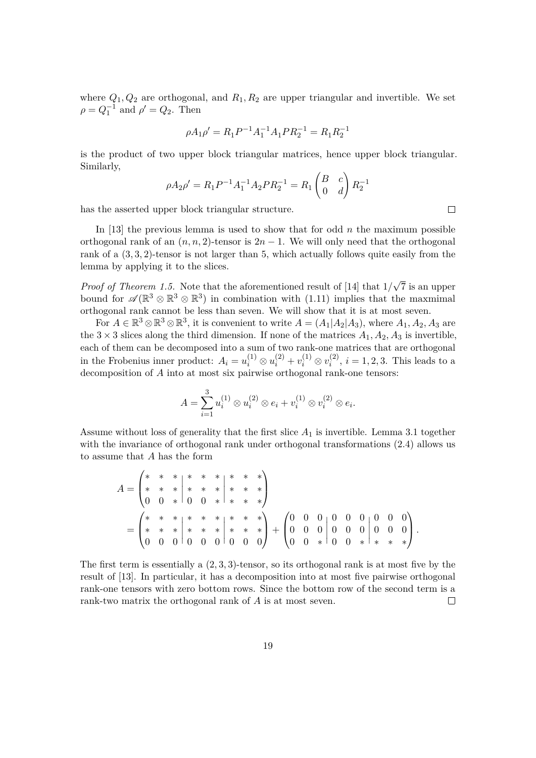where  $Q_1, Q_2$  are orthogonal, and  $R_1, R_2$  are upper triangular and invertible. We set  $\rho = Q_1^{-1}$  and  $\rho' = Q_2$ . Then

$$
\rho A_1 \rho' = R_1 P^{-1} A_1^{-1} A_1 P R_2^{-1} = R_1 R_2^{-1}
$$

is the product of two upper block triangular matrices, hence upper block triangular. Similarly,

$$
\rho A_2 \rho' = R_1 P^{-1} A_1^{-1} A_2 P R_2^{-1} = R_1 \begin{pmatrix} B & c \\ 0 & d \end{pmatrix} R_2^{-1}
$$

has the asserted upper block triangular structure.

In [13] the previous lemma is used to show that for odd *n* the maximum possible orthogonal rank of an  $(n, n, 2)$ -tensor is  $2n - 1$ . We will only need that the orthogonal rank of a (3*,* 3*,* 2)-tensor is not larger than 5, which actually follows quite easily from the lemma by applying it to the slices.

*Proof of Theorem 1.5.* Note that the aforementioned result of [14] that 1*/* √ 7 is an upper bound for  $\mathscr{A}(\mathbb{R}^3 \otimes \mathbb{R}^3)$  in combination with (1.11) implies that the maxmimal orthogonal rank cannot be less than seven. We will show that it is at most seven.

For  $A \in \mathbb{R}^3 \otimes \mathbb{R}^3 \otimes \mathbb{R}^3$ , it is convenient to write  $A = (A_1|A_2|A_3)$ , where  $A_1, A_2, A_3$  are the  $3 \times 3$  slices along the third dimension. If none of the matrices  $A_1, A_2, A_3$  is invertible. each of them can be decomposed into a sum of two rank-one matrices that are orthogonal in the Frobenius inner product:  $A_i = u_i^{(1)} \otimes u_i^{(2)} + v_i^{(1)} \otimes v_i^{(2)}$  $i^{(2)}$ ,  $i = 1, 2, 3$ . This leads to a decomposition of *A* into at most six pairwise orthogonal rank-one tensors:

$$
A = \sum_{i=1}^{3} u_i^{(1)} \otimes u_i^{(2)} \otimes e_i + v_i^{(1)} \otimes v_i^{(2)} \otimes e_i.
$$

Assume without loss of generality that the first slice *A*<sup>1</sup> is invertible. Lemma 3.1 together with the invariance of orthogonal rank under orthogonal transformations  $(2.4)$  allows us to assume that *A* has the form

$$
A = \begin{pmatrix} * & * & * & * & * & * & * \\ * & * & * & * & * & * & * & * \\ 0 & 0 & * & 0 & 0 & * & * & * \\ * & * & * & * & * & * & * & * \\ * & * & * & * & * & * & * & * \end{pmatrix}
$$
  
= 
$$
\begin{pmatrix} * & * & * & * & * & * & * \\ * & * & * & * & * & * & * & * \\ 0 & 0 & 0 & 0 & 0 & 0 & 0 & 0 \\ 0 & 0 & 0 & 0 & 0 & 0 & 0 & 0 \end{pmatrix} + \begin{pmatrix} 0 & 0 & 0 & 0 & 0 & 0 & 0 & 0 \\ 0 & 0 & 0 & 0 & 0 & 0 & 0 & 0 \\ 0 & 0 & * & 0 & 0 & * & * & * \end{pmatrix}.
$$

The first term is essentially a  $(2, 3, 3)$ -tensor, so its orthogonal rank is at most five by the result of [13]. In particular, it has a decomposition into at most five pairwise orthogonal rank-one tensors with zero bottom rows. Since the bottom row of the second term is a rank-two matrix the orthogonal rank of *A* is at most seven.  $\Box$ 

 $\Box$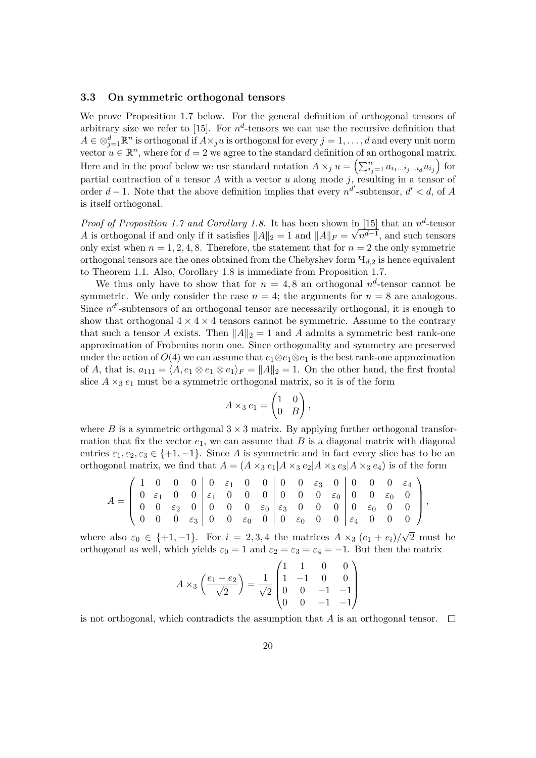#### **3.3 On symmetric orthogonal tensors**

We prove Proposition 1.7 below. For the general definition of orthogonal tensors of arbitrary size we refer to [15]. For  $n^d$ -tensors we can use the recursive definition that  $A \in \otimes_{j=1}^d \mathbb{R}^n$  is orthogonal if  $A \times_j u$  is orthogonal for every  $j = 1, \ldots, d$  and every unit norm vector  $u \in \mathbb{R}^n$ , where for  $d = 2$  we agree to the standard definition of an orthogonal matrix. Here and in the proof below we use standard notation  $A \times_j u = \left( \sum_{i_j=1}^n a_{i_1...i_j...i_d} u_{i_j} \right)$  for partial contraction of a tensor  $A$  with a vector  $u$  along mode  $j$ , resulting in a tensor of order  $d-1$ . Note that the above definition implies that every  $n^{d'}$ -subtensor,  $d' < d$ , of *A* is itself orthogonal.

*Proof of Proposition 1.7 and Corollary 1.8.* It has been shown in  $\boxed{15}$  that an  $n^d$ -tensor *A* is orthogonal if and only if it satisfies  $||A||_2 = 1$  and  $||A||_F = \sqrt{n^{d-1}}$ , and such tensors only exist when  $n = 1, 2, 4, 8$ . Therefore, the statement that for  $n = 2$  the only symmetric orthogonal tensors are the ones obtained from the Chebyshev form Ч*d,*<sup>2</sup> is hence equivalent to Theorem 1.1. Also, Corollary 1.8 is immediate from Proposition 1.7.

We thus only have to show that for  $n = 4, 8$  an orthogonal  $n^d$ -tensor cannot be symmetric. We only consider the case  $n = 4$ ; the arguments for  $n = 8$  are analogous. Since  $n^{d'}$ -subtensors of an orthogonal tensor are necessarily orthogonal, it is enough to show that orthogonal  $4 \times 4 \times 4$  tensors cannot be symmetric. Assume to the contrary that such a tensor *A* exists. Then  $||A||_2 = 1$  and *A* admits a symmetric best rank-one approximation of Frobenius norm one. Since orthogonality and symmetry are preserved under the action of  $O(4)$  we can assume that  $e_1 \otimes e_1 \otimes e_1$  is the best rank-one approximation of *A*, that is,  $a_{111} = \langle A, e_1 \otimes e_1 \otimes e_1 \rangle_F = ||A||_2 = 1$ . On the other hand, the first frontal slice  $A \times_3 e_1$  must be a symmetric orthogonal matrix, so it is of the form

$$
A \times_3 e_1 = \begin{pmatrix} 1 & 0 \\ 0 & B \end{pmatrix},
$$

where *B* is a symmetric orthgonal  $3 \times 3$  matrix. By applying further orthogonal transformation that fix the vector  $e_1$ , we can assume that  $B$  is a diagonal matrix with diagonal entries  $\varepsilon_1, \varepsilon_2, \varepsilon_3 \in \{+1, -1\}$ . Since *A* is symmetric and in fact every slice has to be an orthogonal matrix, we find that  $A = (A \times_3 e_1 | A \times_3 e_2 | A \times_3 e_3 | A \times_3 e_4)$  is of the form

$$
A = \begin{pmatrix} 1 & 0 & 0 & 0 & 0 & \varepsilon_1 & 0 & 0 & 0 & 0 & \varepsilon_3 & 0 & 0 & 0 & 0 & \varepsilon_4 \\ 0 & \varepsilon_1 & 0 & 0 & \varepsilon_1 & 0 & 0 & 0 & 0 & 0 & \varepsilon_0 & 0 & 0 & \varepsilon_0 & 0 \\ 0 & 0 & \varepsilon_2 & 0 & 0 & 0 & 0 & \varepsilon_0 & \varepsilon_3 & 0 & 0 & 0 & 0 & \varepsilon_0 & 0 & 0 \\ 0 & 0 & 0 & \varepsilon_3 & 0 & 0 & \varepsilon_0 & 0 & 0 & \varepsilon_0 & 0 & 0 & \varepsilon_4 & 0 & 0 & 0 \end{pmatrix},
$$

where also  $\varepsilon_0 \in \{+1, -1\}$ . For  $i = 2, 3, 4$  the matrices  $A \times_3 (e_1 + e_i)$ 2 must be orthogonal as well, which yields  $\varepsilon_0 = 1$  and  $\varepsilon_2 = \varepsilon_3 = \varepsilon_4 = -1$ . But then the matrix

$$
A \times_3 \left( \frac{e_1 - e_2}{\sqrt{2}} \right) = \frac{1}{\sqrt{2}} \begin{pmatrix} 1 & 1 & 0 & 0 \\ 1 & -1 & 0 & 0 \\ 0 & 0 & -1 & -1 \\ 0 & 0 & -1 & -1 \end{pmatrix}
$$

is not orthogonal, which contradicts the assumption that *A* is an orthogonal tensor.  $\Box$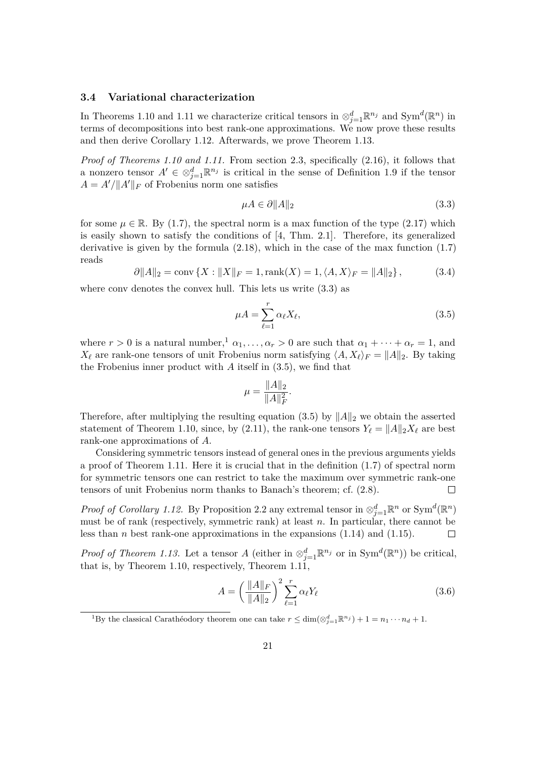#### **3.4 Variational characterization**

In Theorems 1.10 and 1.11 we characterize critical tensors in  $\otimes_{j=1}^d \mathbb{R}^{n_j}$  and Sym<sup>*d*</sup>( $\mathbb{R}^n$ ) in terms of decompositions into best rank-one approximations. We now prove these results and then derive Corollary 1.12. Afterwards, we prove Theorem 1.13.

*Proof of Theorems 1.10 and 1.11.* From section 2.3, specifically (2.16), it follows that a nonzero tensor  $A' \in \otimes_{j=1}^d \mathbb{R}^{n_j}$  is critical in the sense of Definition 1.9 if the tensor  $A = A'/\|A'\|_F$  of Frobenius norm one satisfies

$$
\mu A \in \partial \|A\|_2 \tag{3.3}
$$

for some  $\mu \in \mathbb{R}$ . By (1.7), the spectral norm is a max function of the type (2.17) which is easily shown to satisfy the conditions of [4, Thm. 2*.*1]. Therefore, its generalized derivative is given by the formula (2.18), which in the case of the max function (1.7) reads

$$
\partial \|A\|_2 = \text{conv}\left\{X : \|X\|_F = 1, \text{rank}(X) = 1, \langle A, X \rangle_F = \|A\|_2\right\},\tag{3.4}
$$

where conv denotes the convex hull. This lets us write  $(3.3)$  as

$$
\mu A = \sum_{\ell=1}^{r} \alpha_{\ell} X_{\ell},\tag{3.5}
$$

where  $r > 0$  is a natural number,<sup>1</sup>  $\alpha_1, \ldots, \alpha_r > 0$  are such that  $\alpha_1 + \cdots + \alpha_r = 1$ , and  $X_{\ell}$  are rank-one tensors of unit Frobenius norm satisfying  $\langle A, X_{\ell} \rangle_F = ||A||_2$ . By taking the Frobenius inner product with *A* itself in (3.5), we find that

$$
\mu = \frac{\|A\|_2}{\|A\|_F^2}.
$$

Therefore, after multiplying the resulting equation (3.5) by  $||A||_2$  we obtain the asserted statement of Theorem 1.10, since, by (2.11), the rank-one tensors  $Y_\ell = ||A||_2 X_\ell$  are best rank-one approximations of *A*.

Considering symmetric tensors instead of general ones in the previous arguments yields a proof of Theorem 1.11. Here it is crucial that in the definition (1.7) of spectral norm for symmetric tensors one can restrict to take the maximum over symmetric rank-one tensors of unit Frobenius norm thanks to Banach's theorem; cf. (2.8).  $\Box$ 

*Proof of Corollary 1.12.* By Proposition 2.2 any extremal tensor in  $\otimes_{j=1}^d \mathbb{R}^n$  or  $Sym^d(\mathbb{R}^n)$ must be of rank (respectively, symmetric rank) at least *n*. In particular, there cannot be less than *n* best rank-one approximations in the expansions (1.14) and (1.15).  $\Box$ 

*Proof of Theorem 1.13.* Let a tensor *A* (either in  $\otimes_{j=1}^d \mathbb{R}^{n_j}$  or in Sym<sup>*d*</sup>( $\mathbb{R}^n$ )) be critical, that is, by Theorem 1.10, respectively, Theorem 1.11,

$$
A = \left(\frac{\|A\|_F}{\|A\|_2}\right)^2 \sum_{\ell=1}^r \alpha_\ell Y_\ell
$$
 (3.6)

<sup>&</sup>lt;sup>1</sup>By the classical Carathéodory theorem one can take  $r \leq \dim(\otimes_{j=1}^d \mathbb{R}^{n_j}) + 1 = n_1 \cdots n_d + 1$ .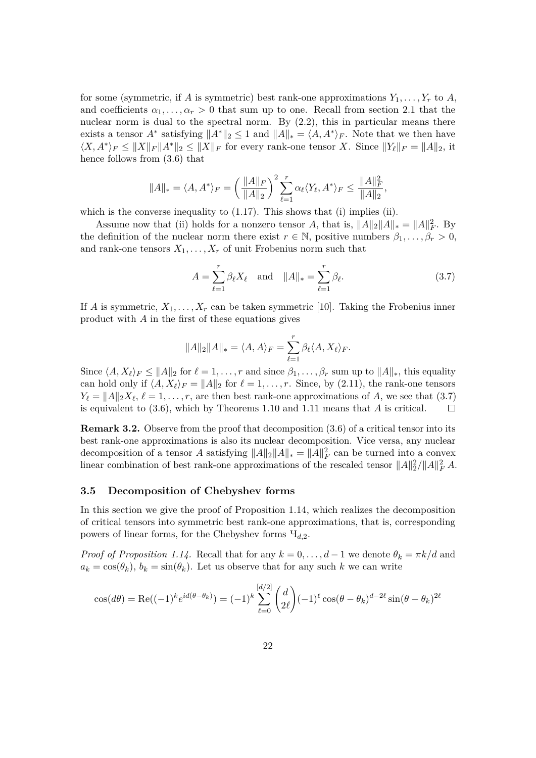for some (symmetric, if *A* is symmetric) best rank-one approximations  $Y_1, \ldots, Y_r$  to *A*, and coefficients  $\alpha_1, \ldots, \alpha_r > 0$  that sum up to one. Recall from section 2.1 that the nuclear norm is dual to the spectral norm. By (2.2), this in particular means there exists a tensor  $A^*$  satisfying  $||A^*||_2 \leq 1$  and  $||A||_* = \langle A, A^* \rangle_F$ . Note that we then have  $\langle X, A^* \rangle_F \leq \|X\|_F \|A^*\|_2 \leq \|X\|_F$  for every rank-one tensor *X*. Since  $\|Y_{\ell}\|_F = \|A\|_2$ , it hence follows from (3.6) that

$$
||A||_* = \langle A, A^* \rangle_F = \left(\frac{||A||_F}{||A||_2}\right)^2 \sum_{\ell=1}^r \alpha_\ell \langle Y_\ell, A^* \rangle_F \le \frac{||A||_F^2}{||A||_2},
$$

which is the converse inequality to  $(1.17)$ . This shows that  $(i)$  implies  $(ii)$ .

Assume now that (ii) holds for a nonzero tensor *A*, that is,  $||A||_2||A||_* = ||A||_F^2$ . By the definition of the nuclear norm there exist  $r \in \mathbb{N}$ , positive numbers  $\beta_1, \ldots, \beta_r > 0$ , and rank-one tensors  $X_1, \ldots, X_r$  of unit Frobenius norm such that

$$
A = \sum_{\ell=1}^{r} \beta_{\ell} X_{\ell} \text{ and } ||A||_{*} = \sum_{\ell=1}^{r} \beta_{\ell}.
$$
 (3.7)

If *A* is symmetric,  $X_1, \ldots, X_r$  can be taken symmetric [10]. Taking the Frobenius inner product with *A* in the first of these equations gives

$$
||A||_2||A||_* = \langle A, A \rangle_F = \sum_{\ell=1}^r \beta_\ell \langle A, X_\ell \rangle_F.
$$

Since  $\langle A, X_\ell \rangle_F \le ||A||_2$  for  $\ell = 1, \ldots, r$  and since  $\beta_1, \ldots, \beta_r$  sum up to  $||A||_*$ , this equality can hold only if  $\langle A, X_\ell \rangle_F = ||A||_2$  for  $\ell = 1, \ldots, r$ . Since, by (2.11), the rank-one tensors  $Y_{\ell} = ||A||_2 X_{\ell}, \ell = 1, \ldots, r$ , are then best rank-one approximations of *A*, we see that (3.7) is equivalent to (3.6), which by Theorems 1.10 and 1.11 means that *A* is critical.  $\Box$ 

**Remark 3.2.** Observe from the proof that decomposition (3.6) of a critical tensor into its best rank-one approximations is also its nuclear decomposition. Vice versa, any nuclear decomposition of a tensor *A* satisfying  $||A||_2||A||_* = ||A||_F^2$  can be turned into a convex linear combination of best rank-one approximations of the rescaled tensor  $||A||_2^2/||A||_F^2 A$ .

#### **3.5 Decomposition of Chebyshev forms**

In this section we give the proof of Proposition 1.14, which realizes the decomposition of critical tensors into symmetric best rank-one approximations, that is, corresponding powers of linear forms, for the Chebyshev forms Ч*d,*2.

*Proof of Proposition 1.14.* Recall that for any  $k = 0, \ldots, d - 1$  we denote  $\theta_k = \pi k/d$  and  $a_k = \cos(\theta_k)$ ,  $b_k = \sin(\theta_k)$ . Let us observe that for any such *k* we can write

$$
\cos(d\theta) = \text{Re}((-1)^k e^{id(\theta - \theta_k)}) = (-1)^k \sum_{\ell=0}^{[d/2]} \binom{d}{2\ell} (-1)^{\ell} \cos(\theta - \theta_k)^{d-2\ell} \sin(\theta - \theta_k)^{2\ell}
$$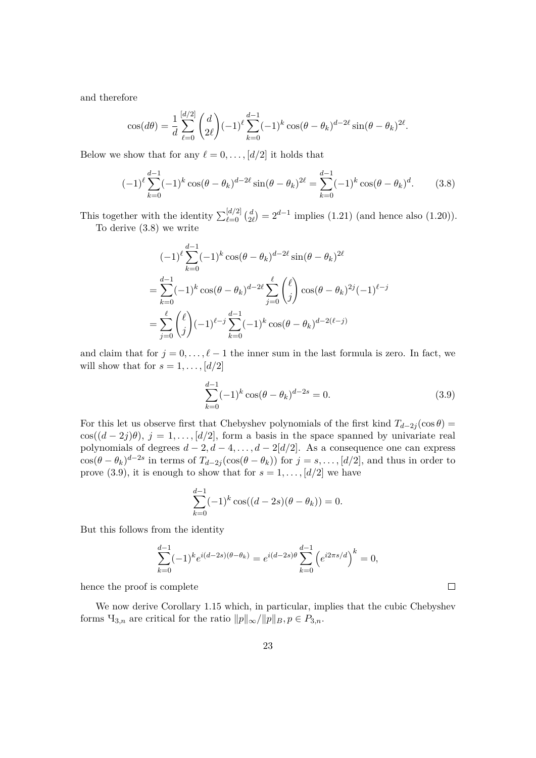and therefore

$$
\cos(d\theta) = \frac{1}{d} \sum_{\ell=0}^{[d/2]} \binom{d}{2\ell} (-1)^{\ell} \sum_{k=0}^{d-1} (-1)^{k} \cos(\theta - \theta_k)^{d-2\ell} \sin(\theta - \theta_k)^{2\ell}.
$$

Below we show that for any  $\ell = 0, \ldots, [d/2]$  it holds that

$$
(-1)^{\ell} \sum_{k=0}^{d-1} (-1)^{k} \cos(\theta - \theta_{k})^{d-2\ell} \sin(\theta - \theta_{k})^{2\ell} = \sum_{k=0}^{d-1} (-1)^{k} \cos(\theta - \theta_{k})^{d}.
$$
 (3.8)

This together with the identity  $\sum_{\ell=0}^{\lfloor d/2 \rfloor} {d \choose 2}$  $2l \choose 2l} = 2^{d-1}$  implies (1.21) (and hence also (1.20)). To derive (3.8) we write

$$
(-1)^{\ell} \sum_{k=0}^{d-1} (-1)^{k} \cos(\theta - \theta_{k})^{d-2\ell} \sin(\theta - \theta_{k})^{2\ell}
$$
  
= 
$$
\sum_{k=0}^{d-1} (-1)^{k} \cos(\theta - \theta_{k})^{d-2\ell} \sum_{j=0}^{\ell} {\ell \choose j} \cos(\theta - \theta_{k})^{2j} (-1)^{\ell-j}
$$
  
= 
$$
\sum_{j=0}^{\ell} {\ell \choose j} (-1)^{\ell-j} \sum_{k=0}^{d-1} (-1)^{k} \cos(\theta - \theta_{k})^{d-2(\ell-j)}
$$

and claim that for  $j = 0, \ldots, \ell - 1$  the inner sum in the last formula is zero. In fact, we will show that for  $s = 1, \ldots, \lfloor d/2 \rfloor$ 

$$
\sum_{k=0}^{d-1} (-1)^k \cos(\theta - \theta_k)^{d-2s} = 0.
$$
\n(3.9)

 $\Box$ 

For this let us observe first that Chebyshev polynomials of the first kind  $T_{d-2j}(\cos\theta) =$ cos( $(d-2j)\theta$ ),  $j=1,\ldots, [d/2]$ , form a basis in the space spanned by univariate real polynomials of degrees  $d-2, d-4, \ldots, d-2[d/2]$ . As a consequence one can express  $\cos(\theta - \theta_k)^{d-2s}$  in terms of  $T_{d-2j}(\cos(\theta - \theta_k))$  for  $j = s, \ldots, [d/2]$ , and thus in order to prove (3.9), it is enough to show that for  $s = 1, \ldots, [d/2]$  we have

$$
\sum_{k=0}^{d-1} (-1)^k \cos((d-2s)(\theta - \theta_k)) = 0.
$$

But this follows from the identity

$$
\sum_{k=0}^{d-1}(-1)^ke^{i(d-2s)(\theta-\theta_k)}=e^{i(d-2s)\theta}\sum_{k=0}^{d-1}\left(e^{i2\pi s/d}\right)^k=0,
$$

hence the proof is complete

We now derive Corollary 1.15 which, in particular, implies that the cubic Chebyshev forms  $\Pi_{3,n}$  are critical for the ratio  $||p||_{\infty}/||p||_B$ ,  $p \in P_{3,n}$ .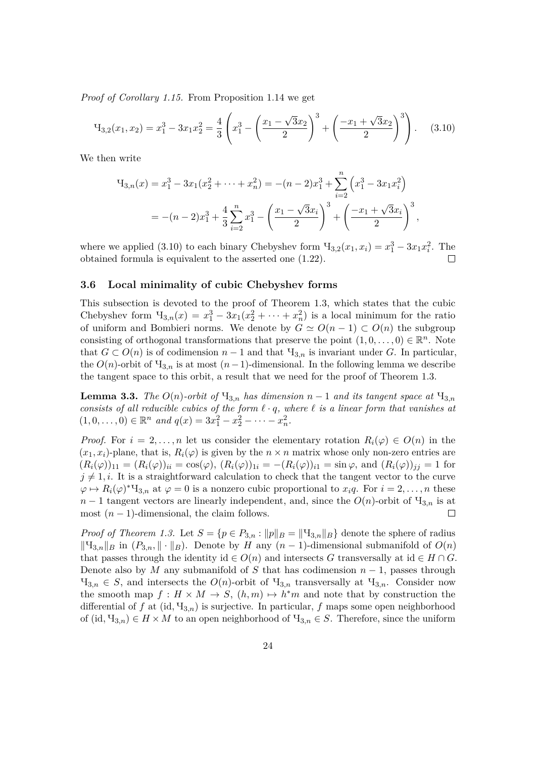*Proof of Corollary 1.15.* From Proposition 1.14 we get

$$
H_{3,2}(x_1, x_2) = x_1^3 - 3x_1x_2^2 = \frac{4}{3} \left( x_1^3 - \left( \frac{x_1 - \sqrt{3}x_2}{2} \right)^3 + \left( \frac{-x_1 + \sqrt{3}x_2}{2} \right)^3 \right). \tag{3.10}
$$

We then write

$$
H_{3,n}(x) = x_1^3 - 3x_1(x_2^2 + \dots + x_n^2) = -(n-2)x_1^3 + \sum_{i=2}^n \left(x_1^3 - 3x_1x_i^2\right)
$$
  
= -(n-2)x\_1^3 + \frac{4}{3}\sum\_{i=2}^n x\_1^3 - \left(\frac{x\_1 - \sqrt{3}x\_i}{2}\right)^3 + \left(\frac{-x\_1 + \sqrt{3}x\_i}{2}\right)^3,

where we applied (3.10) to each binary Chebyshev form  $\Pi_{3,2}(x_1, x_i) = x_1^3 - 3x_1x_i^2$ . The obtained formula is equivalent to the asserted one (1.22).  $\Box$ 

#### **3.6 Local minimality of cubic Chebyshev forms**

This subsection is devoted to the proof of Theorem 1.3, which states that the cubic Chebyshev form  $\Pi_{3,n}(x) = x_1^3 - 3x_1(x_2^2 + \cdots + x_n^2)$  is a local minimum for the ratio of uniform and Bombieri norms. We denote by  $G \simeq O(n-1) \subset O(n)$  the subgroup consisting of orthogonal transformations that preserve the point  $(1,0,\ldots,0) \in \mathbb{R}^n$ . Note that  $G \subset O(n)$  is of codimension  $n-1$  and that  $\Pi_{3,n}$  is invariant under *G*. In particular, the  $O(n)$ -orbit of  $\Pi_{3,n}$  is at most  $(n-1)$ -dimensional. In the following lemma we describe the tangent space to this orbit, a result that we need for the proof of Theorem 1.3.

**Lemma 3.3.** *The*  $O(n)$ -orbit of  $H_{3,n}$  has dimension  $n-1$  and its tangent space at  $H_{3,n}$ *consists of all reducible cubics of the form*  $\ell \cdot q$ *, where*  $\ell$  *is a linear form that vanishes at*  $(1,0,\ldots,0) \in \mathbb{R}^n$  *and*  $q(x) = 3x_1^2 - x_2^2 - \cdots - x_n^2$ .

*Proof.* For  $i = 2, \ldots, n$  let us consider the elementary rotation  $R_i(\varphi) \in O(n)$  in the  $(x_1, x_i)$ -plane, that is,  $R_i(\varphi)$  is given by the  $n \times n$  matrix whose only non-zero entries are  $(R_i(\varphi))_{11} = (R_i(\varphi))_{ii} = \cos(\varphi), (R_i(\varphi))_{1i} = -(R_i(\varphi))_{i1} = \sin \varphi$ , and  $(R_i(\varphi))_{jj} = 1$  for  $j \neq 1, i$ . It is a straightforward calculation to check that the tangent vector to the curve  $\varphi \mapsto R_i(\varphi)^* \mathcal{H}_{3,n}$  at  $\varphi = 0$  is a nonzero cubic proportional to  $x_i q$ . For  $i = 2, \ldots, n$  these  $n-1$  tangent vectors are linearly independent, and, since the  $O(n)$ -orbit of  $\mathcal{H}_{3,n}$  is at most  $(n-1)$ -dimensional, the claim follows.  $\Box$ 

*Proof of Theorem 1.3.* Let  $S = \{p \in P_{3,n} : ||p||_B = ||\mathcal{H}_{3,n}||_B\}$  denote the sphere of radius  $\|$ <sup>H</sup><sub>3*,n*</sub> $\|$ *B* in (*P*<sub>3*,n*</sub>, $\|$  ⋅  $\|$ *B*). Denote by *H* any (*n* − 1)-dimensional submanifold of  $O(n)$ that passes through the identity id  $\in O(n)$  and intersects *G* transversally at id  $\in H \cap G$ . Denote also by *M* any submanifold of *S* that has codimension  $n-1$ , passes through  $\Pi_{3,n} \in S$ , and intersects the  $O(n)$ -orbit of  $\Pi_{3,n}$  transversally at  $\Pi_{3,n}$ . Consider now the smooth map  $f: H \times M \to S$ ,  $(h,m) \mapsto h^*m$  and note that by construction the differential of  $f$  at (id,  $\mathcal{H}_{3,n}$ ) is surjective. In particular,  $f$  maps some open neighborhood of (id,  $\Pi_{3,n} \in H \times M$  to an open neighborhood of  $\Pi_{3,n} \in S$ . Therefore, since the uniform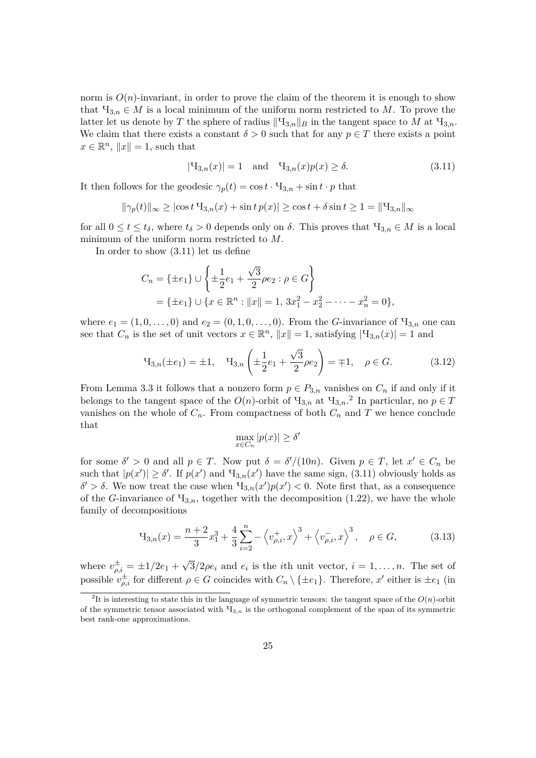norm is  $O(n)$ -invariant, in order to prove the claim of the theorem it is enough to show that  $\Pi_{3,n} \in M$  is a local minimum of the uniform norm restricted to M. To prove the latter let us denote by *T* the sphere of radius  $\|\Psi_{3,n}\|_B$  in the tangent space to *M* at  $\Pi_{3,n}$ . We claim that there exists a constant  $\delta > 0$  such that for any  $p \in T$  there exists a point  $x \in \mathbb{R}^n$ ,  $||x|| = 1$ , such that

$$
|\mathcal{H}_{3,n}(x)| = 1 \quad \text{and} \quad \mathcal{H}_{3,n}(x)p(x) \ge \delta. \tag{3.11}
$$

It then follows for the geodesic  $\gamma_p(t) = \cos t \cdot \mathbf{y}_{3,n} + \sin t \cdot p$  that

$$
\|\gamma_p(t)\|_{\infty} \ge |\cos t \, \mathbf{H}_{3,n}(x) + \sin t \, p(x)| \ge \cos t + \delta \sin t \ge 1 = \|\mathbf{H}_{3,n}\|_{\infty}
$$

for all  $0 \le t \le t_\delta$ , where  $t_\delta > 0$  depends only on  $\delta$ . This proves that  $\Pi_{3,n} \in M$  is a local minimum of the uniform norm restricted to *M*.

In order to show (3.11) let us define

$$
C_n = \{\pm e_1\} \cup \left\{\pm \frac{1}{2}e_1 + \frac{\sqrt{3}}{2}\rho e_2 : \rho \in G\right\}
$$
  
=  $\{\pm e_1\} \cup \{x \in \mathbb{R}^n : ||x|| = 1, 3x_1^2 - x_2^2 - \dots - x_n^2 = 0\},\$ 

where  $e_1 = (1, 0, \ldots, 0)$  and  $e_2 = (0, 1, 0, \ldots, 0)$ . From the *G*-invariance of  $\mathcal{H}_{3,n}$  one can see that  $C_n$  is the set of unit vectors  $x \in \mathbb{R}^n$ ,  $||x|| = 1$ , satisfying  $|\mathcal{H}_{3,n}(x)| = 1$  and

$$
\mathcal{H}_{3,n}(\pm e_1) = \pm 1, \quad \mathcal{H}_{3,n}\left(\pm \frac{1}{2}e_1 + \frac{\sqrt{3}}{2}\rho e_2\right) = \mp 1, \quad \rho \in G. \tag{3.12}
$$

From Lemma 3.3 it follows that a nonzero form  $p \in P_{3,n}$  vanishes on  $C_n$  if and only if it belongs to the tangent space of the  $O(n)$ -orbit of  $H_{3,n}$  at  $H_{3,n}$ <sup>2</sup> In particular, no  $p \in T$ vanishes on the whole of  $C_n$ . From compactness of both  $C_n$  and  $T$  we hence conclude that

$$
\max_{x\in C_n} |p(x)| \geq \delta'
$$

for some  $\delta' > 0$  and all  $p \in T$ . Now put  $\delta = \delta'/(10n)$ . Given  $p \in T$ , let  $x' \in C_n$  be such that  $|p(x')| \ge \delta'$ . If  $p(x')$  and  $\mathcal{H}_{3,n}(x')$  have the same sign, (3.11) obviously holds as  $δ' > δ$ . We now treat the case when  $\mathcal{H}_{3,n}(x')p(x') < 0$ . Note first that, as a consequence of the *G*-invariance of  $\mathcal{H}_{3,n}$ , together with the decomposition (1.22), we have the whole family of decompositions

$$
\mathcal{H}_{3,n}(x) = \frac{n+2}{3}x_1^3 + \frac{4}{3}\sum_{i=2}^n - \left\langle v_{\rho,i}^+, x \right\rangle^3 + \left\langle v_{\rho,i}^-, x \right\rangle^3, \quad \rho \in G,\tag{3.13}
$$

where  $v_{\rho,i}^{\pm} = \pm 1/2e_1 +$ √  $3/2\rho e_i$  and  $e_i$  is the *i*th unit vector,  $i = 1, \ldots, n$ . The set of possible  $v_{\rho,i}^{\pm}$  for different  $\rho \in G$  coincides with  $C_n \setminus {\pm e_1}$ . Therefore,  $x'$  either is  $\pm e_1$  (in

<sup>&</sup>lt;sup>2</sup>It is interesting to state this in the language of symmetric tensors: the tangent space of the  $O(n)$ -orbit of the symmetric tensor associated with Ч3*,n* is the orthogonal complement of the span of its symmetric best rank-one approximations.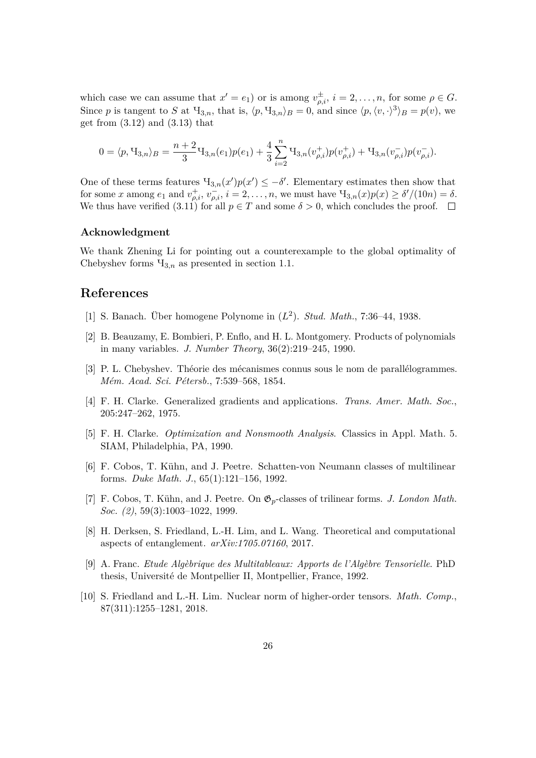which case we can assume that  $x' = e_1$  or is among  $v_{\rho,i}^{\pm}$ ,  $i = 2, \ldots, n$ , for some  $\rho \in G$ . Since *p* is tangent to *S* at  $\Pi_{3,n}$ , that is,  $\langle p, \Psi_{3,n} \rangle_B = 0$ , and since  $\langle p, \langle v, \cdot \rangle^3 \rangle_B = p(v)$ , we get from  $(3.12)$  and  $(3.13)$  that

$$
0 = \langle p, \mathcal{H}_{3,n} \rangle_B = \frac{n+2}{3} \mathcal{H}_{3,n}(e_1) p(e_1) + \frac{4}{3} \sum_{i=2}^n \mathcal{H}_{3,n}(v_{\rho,i}^+) p(v_{\rho,i}^+) + \mathcal{H}_{3,n}(v_{\rho,i}^-) p(v_{\rho,i}^-).
$$

One of these terms features  $\mathcal{H}_{3,n}(x')p(x') \leq -\delta'$ . Elementary estimates then show that for some *x* among  $e_1$  and  $v_{\rho,i}^+, v_{\rho,i}^-, i = 2, ..., n$ , we must have  $\Pi_{3,n}(x)p(x) \ge \delta'/(10n) = \delta$ . We thus have verified  $(3.11)$  for all  $p \in T$  and some  $\delta > 0$ , which concludes the proof.  $\Box$ 

#### **Acknowledgment**

We thank Zhening Li for pointing out a counterexample to the global optimality of Chebyshev forms  $\mathcal{H}_{3,n}$  as presented in section 1.1.

# **References**

- [1] S. Banach. Über homogene Polynome in (*L* 2 ). *Stud. Math.*, 7:36–44, 1938.
- [2] B. Beauzamy, E. Bombieri, P. Enflo, and H. L. Montgomery. Products of polynomials in many variables. *J. Number Theory*, 36(2):219–245, 1990.
- [3] P. L. Chebyshev. Théorie des mécanismes connus sous le nom de parallélogrammes. *Mém. Acad. Sci. Pétersb.*, 7:539–568, 1854.
- [4] F. H. Clarke. Generalized gradients and applications. *Trans. Amer. Math. Soc.*, 205:247–262, 1975.
- [5] F. H. Clarke. *Optimization and Nonsmooth Analysis*. Classics in Appl. Math. 5. SIAM, Philadelphia, PA, 1990.
- [6] F. Cobos, T. Kühn, and J. Peetre. Schatten-von Neumann classes of multilinear forms. *Duke Math. J.*, 65(1):121–156, 1992.
- [7] F. Cobos, T. Kühn, and J. Peetre. On G*p*-classes of trilinear forms. *J. London Math. Soc. (2)*, 59(3):1003–1022, 1999.
- [8] H. Derksen, S. Friedland, L.-H. Lim, and L. Wang. Theoretical and computational aspects of entanglement. *arXiv:1705.07160*, 2017.
- [9] A. Franc. *Etude Algèbrique des Multitableaux: Apports de l'Algèbre Tensorielle*. PhD thesis, Université de Montpellier II, Montpellier, France, 1992.
- [10] S. Friedland and L.-H. Lim. Nuclear norm of higher-order tensors. *Math. Comp.*, 87(311):1255–1281, 2018.